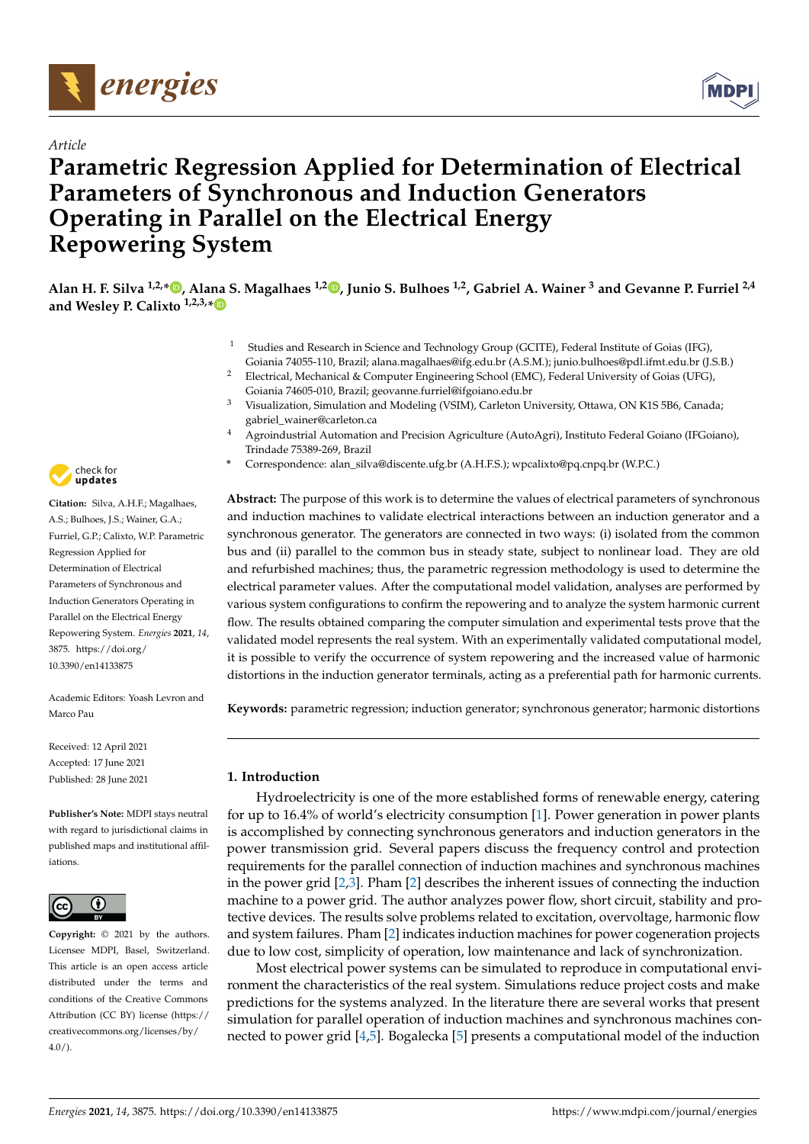



# **Parametric Regression Applied for Determination of Electrical Parameters of Synchronous and Induction Generators Operating in Parallel on the Electrical Energy Repowering System**



- <sup>1</sup> Studies and Research in Science and Technology Group (GCITE), Federal Institute of Goias (IFG), Goiania 74055-110, Brazil; alana.magalhaes@ifg.edu.br (A.S.M.); junio.bulhoes@pdl.ifmt.edu.br (J.S.B.)
- <sup>2</sup> Electrical, Mechanical & Computer Engineering School (EMC), Federal University of Goias (UFG), Goiania 74605-010, Brazil; geovanne.furriel@ifgoiano.edu.br
- <sup>3</sup> Visualization, Simulation and Modeling (VSIM), Carleton University, Ottawa, ON K1S 5B6, Canada; gabriel\_wainer@carleton.ca
- <sup>4</sup> Agroindustrial Automation and Precision Agriculture (AutoAgri), Instituto Federal Goiano (IFGoiano), Trindade 75389-269, Brazil
- **\*** Correspondence: alan\_silva@discente.ufg.br (A.H.F.S.); wpcalixto@pq.cnpq.br (W.P.C.)

**Abstract:** The purpose of this work is to determine the values of electrical parameters of synchronous and induction machines to validate electrical interactions between an induction generator and a synchronous generator. The generators are connected in two ways: (i) isolated from the common bus and (ii) parallel to the common bus in steady state, subject to nonlinear load. They are old and refurbished machines; thus, the parametric regression methodology is used to determine the electrical parameter values. After the computational model validation, analyses are performed by various system configurations to confirm the repowering and to analyze the system harmonic current flow. The results obtained comparing the computer simulation and experimental tests prove that the validated model represents the real system. With an experimentally validated computational model, it is possible to verify the occurrence of system repowering and the increased value of harmonic distortions in the induction generator terminals, acting as a preferential path for harmonic currents.

**Keywords:** parametric regression; induction generator; synchronous generator; harmonic distortions

# **1. Introduction**

Hydroelectricity is one of the more established forms of renewable energy, catering for up to 16.4% of world's electricity consumption [\[1\]](#page-18-0). Power generation in power plants is accomplished by connecting synchronous generators and induction generators in the power transmission grid. Several papers discuss the frequency control and protection requirements for the parallel connection of induction machines and synchronous machines in the power grid [\[2](#page-18-1)[,3\]](#page-19-0). Pham [\[2\]](#page-18-1) describes the inherent issues of connecting the induction machine to a power grid. The author analyzes power flow, short circuit, stability and protective devices. The results solve problems related to excitation, overvoltage, harmonic flow and system failures. Pham [\[2\]](#page-18-1) indicates induction machines for power cogeneration projects due to low cost, simplicity of operation, low maintenance and lack of synchronization.

Most electrical power systems can be simulated to reproduce in computational environment the characteristics of the real system. Simulations reduce project costs and make predictions for the systems analyzed. In the literature there are several works that present simulation for parallel operation of induction machines and synchronous machines connected to power grid [\[4,](#page-19-1)[5\]](#page-19-2). Bogalecka [\[5\]](#page-19-2) presents a computational model of the induction



**Citation:** Silva, A.H.F.; Magalhaes, A.S.; Bulhoes, J.S.; Wainer, G.A.; Furriel, G.P.; Calixto, W.P. Parametric Regression Applied for Determination of Electrical Parameters of Synchronous and Induction Generators Operating in Parallel on the Electrical Energy Repowering System. *Energies* **2021**, *14*, 3875. [https://doi.org/](https://doi.org/10.3390/en14133875) [10.3390/en14133875](https://doi.org/10.3390/en14133875)

Academic Editors: Yoash Levron and Marco Pau

Received: 12 April 2021 Accepted: 17 June 2021 Published: 28 June 2021

**Publisher's Note:** MDPI stays neutral with regard to jurisdictional claims in published maps and institutional affiliations.



**Copyright:** © 2021 by the authors. Licensee MDPI, Basel, Switzerland. This article is an open access article distributed under the terms and conditions of the Creative Commons Attribution (CC BY) license (https:/[/](https://creativecommons.org/licenses/by/4.0/) [creativecommons.org/licenses/by/](https://creativecommons.org/licenses/by/4.0/)  $4.0/$ ).

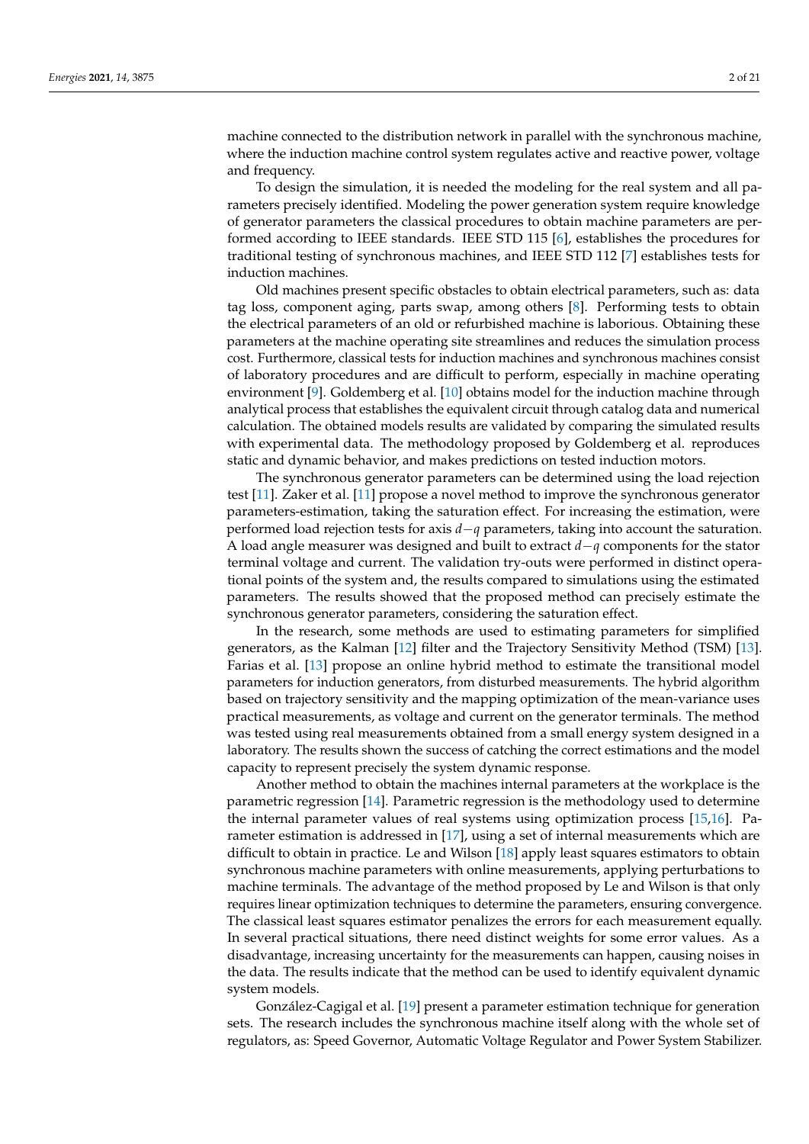machine connected to the distribution network in parallel with the synchronous machine, where the induction machine control system regulates active and reactive power, voltage and frequency.

To design the simulation, it is needed the modeling for the real system and all parameters precisely identified. Modeling the power generation system require knowledge of generator parameters the classical procedures to obtain machine parameters are performed according to IEEE standards. IEEE STD 115 [\[6\]](#page-19-3), establishes the procedures for traditional testing of synchronous machines, and IEEE STD 112 [\[7\]](#page-19-4) establishes tests for induction machines.

Old machines present specific obstacles to obtain electrical parameters, such as: data tag loss, component aging, parts swap, among others [\[8\]](#page-19-5). Performing tests to obtain the electrical parameters of an old or refurbished machine is laborious. Obtaining these parameters at the machine operating site streamlines and reduces the simulation process cost. Furthermore, classical tests for induction machines and synchronous machines consist of laboratory procedures and are difficult to perform, especially in machine operating environment [\[9\]](#page-19-6). Goldemberg et al. [\[10\]](#page-19-7) obtains model for the induction machine through analytical process that establishes the equivalent circuit through catalog data and numerical calculation. The obtained models results are validated by comparing the simulated results with experimental data. The methodology proposed by Goldemberg et al. reproduces static and dynamic behavior, and makes predictions on tested induction motors.

The synchronous generator parameters can be determined using the load rejection test [\[11\]](#page-19-8). Zaker et al. [\[11\]](#page-19-8) propose a novel method to improve the synchronous generator parameters-estimation, taking the saturation effect. For increasing the estimation, were performed load rejection tests for axis *d*−*q* parameters, taking into account the saturation. A load angle measurer was designed and built to extract *d*−*q* components for the stator terminal voltage and current. The validation try-outs were performed in distinct operational points of the system and, the results compared to simulations using the estimated parameters. The results showed that the proposed method can precisely estimate the synchronous generator parameters, considering the saturation effect.

In the research, some methods are used to estimating parameters for simplified generators, as the Kalman [\[12\]](#page-19-9) filter and the Trajectory Sensitivity Method (TSM) [\[13\]](#page-19-10). Farias et al. [\[13\]](#page-19-10) propose an online hybrid method to estimate the transitional model parameters for induction generators, from disturbed measurements. The hybrid algorithm based on trajectory sensitivity and the mapping optimization of the mean-variance uses practical measurements, as voltage and current on the generator terminals. The method was tested using real measurements obtained from a small energy system designed in a laboratory. The results shown the success of catching the correct estimations and the model capacity to represent precisely the system dynamic response.

Another method to obtain the machines internal parameters at the workplace is the parametric regression [\[14\]](#page-19-11). Parametric regression is the methodology used to determine the internal parameter values of real systems using optimization process [\[15](#page-19-12)[,16\]](#page-19-13). Parameter estimation is addressed in [\[17\]](#page-19-14), using a set of internal measurements which are difficult to obtain in practice. Le and Wilson [\[18\]](#page-19-15) apply least squares estimators to obtain synchronous machine parameters with online measurements, applying perturbations to machine terminals. The advantage of the method proposed by Le and Wilson is that only requires linear optimization techniques to determine the parameters, ensuring convergence. The classical least squares estimator penalizes the errors for each measurement equally. In several practical situations, there need distinct weights for some error values. As a disadvantage, increasing uncertainty for the measurements can happen, causing noises in the data. The results indicate that the method can be used to identify equivalent dynamic system models.

González-Cagigal et al. [\[19\]](#page-19-16) present a parameter estimation technique for generation sets. The research includes the synchronous machine itself along with the whole set of regulators, as: Speed Governor, Automatic Voltage Regulator and Power System Stabilizer.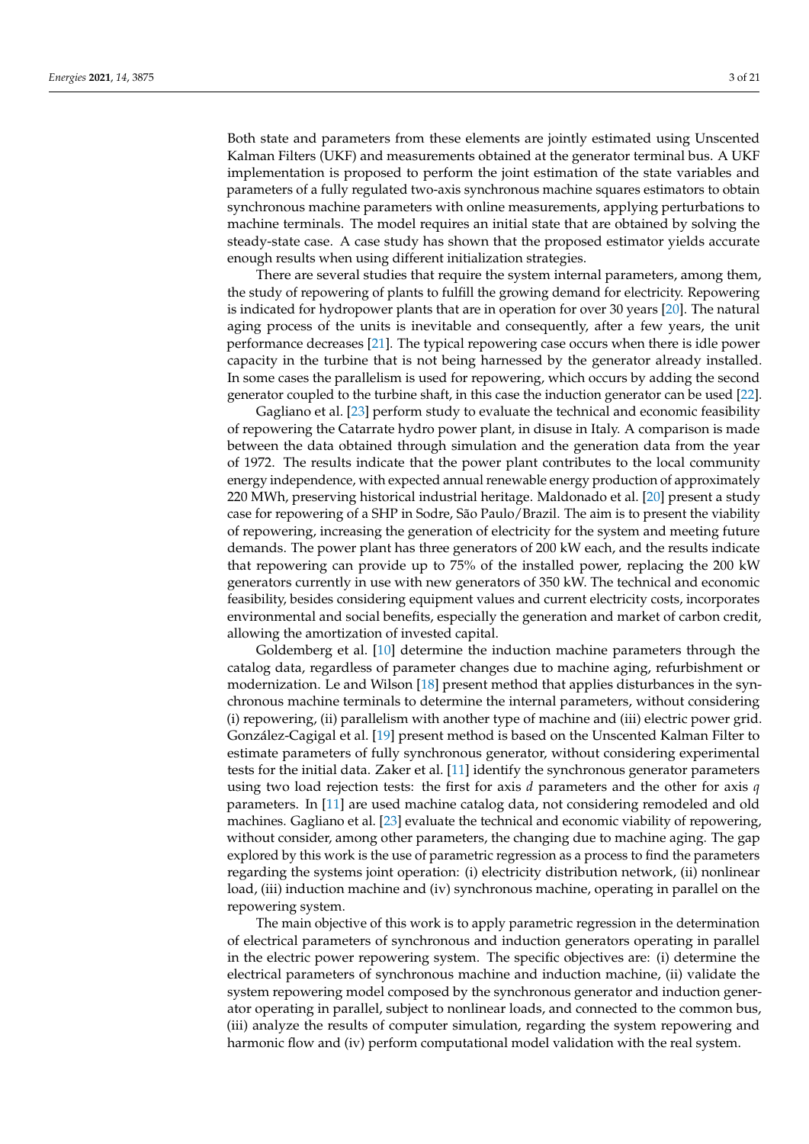Both state and parameters from these elements are jointly estimated using Unscented Kalman Filters (UKF) and measurements obtained at the generator terminal bus. A UKF implementation is proposed to perform the joint estimation of the state variables and parameters of a fully regulated two-axis synchronous machine squares estimators to obtain synchronous machine parameters with online measurements, applying perturbations to machine terminals. The model requires an initial state that are obtained by solving the steady-state case. A case study has shown that the proposed estimator yields accurate enough results when using different initialization strategies.

There are several studies that require the system internal parameters, among them, the study of repowering of plants to fulfill the growing demand for electricity. Repowering is indicated for hydropower plants that are in operation for over 30 years [\[20\]](#page-19-17). The natural aging process of the units is inevitable and consequently, after a few years, the unit performance decreases [\[21\]](#page-19-18). The typical repowering case occurs when there is idle power capacity in the turbine that is not being harnessed by the generator already installed. In some cases the parallelism is used for repowering, which occurs by adding the second generator coupled to the turbine shaft, in this case the induction generator can be used [\[22\]](#page-19-19).

Gagliano et al. [\[23\]](#page-19-20) perform study to evaluate the technical and economic feasibility of repowering the Catarrate hydro power plant, in disuse in Italy. A comparison is made between the data obtained through simulation and the generation data from the year of 1972. The results indicate that the power plant contributes to the local community energy independence, with expected annual renewable energy production of approximately 220 MWh, preserving historical industrial heritage. Maldonado et al. [\[20\]](#page-19-17) present a study case for repowering of a SHP in Sodre, São Paulo/Brazil. The aim is to present the viability of repowering, increasing the generation of electricity for the system and meeting future demands. The power plant has three generators of 200 kW each, and the results indicate that repowering can provide up to 75% of the installed power, replacing the 200 kW generators currently in use with new generators of 350 kW. The technical and economic feasibility, besides considering equipment values and current electricity costs, incorporates environmental and social benefits, especially the generation and market of carbon credit, allowing the amortization of invested capital.

Goldemberg et al. [\[10\]](#page-19-7) determine the induction machine parameters through the catalog data, regardless of parameter changes due to machine aging, refurbishment or modernization. Le and Wilson [\[18\]](#page-19-15) present method that applies disturbances in the synchronous machine terminals to determine the internal parameters, without considering (i) repowering, (ii) parallelism with another type of machine and (iii) electric power grid. González-Cagigal et al. [\[19\]](#page-19-16) present method is based on the Unscented Kalman Filter to estimate parameters of fully synchronous generator, without considering experimental tests for the initial data. Zaker et al. [\[11\]](#page-19-8) identify the synchronous generator parameters using two load rejection tests: the first for axis *d* parameters and the other for axis *q* parameters. In [\[11\]](#page-19-8) are used machine catalog data, not considering remodeled and old machines. Gagliano et al. [\[23\]](#page-19-20) evaluate the technical and economic viability of repowering, without consider, among other parameters, the changing due to machine aging. The gap explored by this work is the use of parametric regression as a process to find the parameters regarding the systems joint operation: (i) electricity distribution network, (ii) nonlinear load, (iii) induction machine and (iv) synchronous machine, operating in parallel on the repowering system.

The main objective of this work is to apply parametric regression in the determination of electrical parameters of synchronous and induction generators operating in parallel in the electric power repowering system. The specific objectives are: (i) determine the electrical parameters of synchronous machine and induction machine, (ii) validate the system repowering model composed by the synchronous generator and induction generator operating in parallel, subject to nonlinear loads, and connected to the common bus, (iii) analyze the results of computer simulation, regarding the system repowering and harmonic flow and (iv) perform computational model validation with the real system.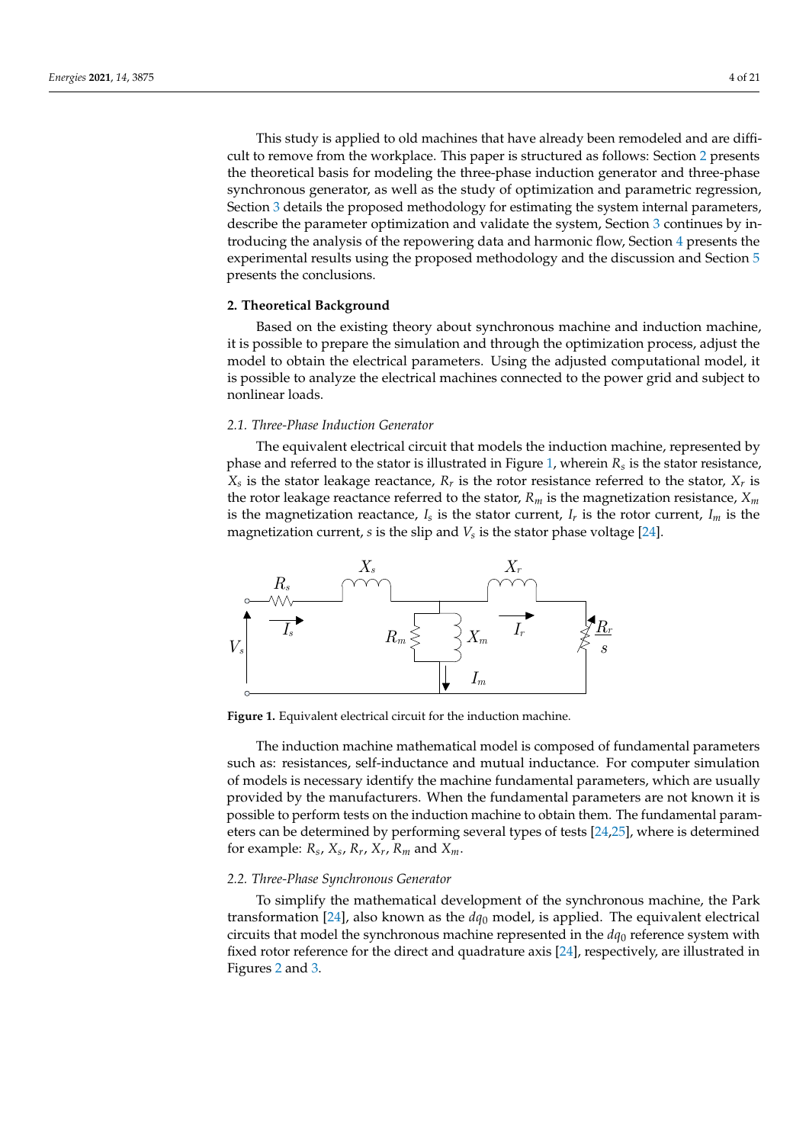This study is applied to old machines that have already been remodeled and are difficult to remove from the workplace. This paper is structured as follows: Section [2](#page-3-0) presents the theoretical basis for modeling the three-phase induction generator and three-phase synchronous generator, as well as the study of optimization and parametric regression, Section [3](#page-6-0) details the proposed methodology for estimating the system internal parameters, describe the parameter optimization and validate the system, Section [3](#page-6-0) continues by introducing the analysis of the repowering data and harmonic flow, Section [4](#page-9-0) presents the experimental results using the proposed methodology and the discussion and Section [5](#page-18-2) presents the conclusions.

# <span id="page-3-0"></span>**2. Theoretical Background**

Based on the existing theory about synchronous machine and induction machine, it is possible to prepare the simulation and through the optimization process, adjust the model to obtain the electrical parameters. Using the adjusted computational model, it is possible to analyze the electrical machines connected to the power grid and subject to nonlinear loads.

## *2.1. Three-Phase Induction Generator*

The equivalent electrical circuit that models the induction machine, represented by phase and referred to the stator is illustrated in Figure [1,](#page-3-1) wherein *R<sup>s</sup>* is the stator resistance,  $X_s$  is the stator leakage reactance,  $R_r$  is the rotor resistance referred to the stator,  $X_r$  is the rotor leakage reactance referred to the stator,  $R_m$  is the magnetization resistance,  $X_m$ is the magnetization reactance,  $I_s$  is the stator current,  $I_r$  is the rotor current,  $I_m$  is the magnetization current*, s* is the slip and  $V_s$  is the stator phase voltage [\[24\]](#page-19-21).

<span id="page-3-1"></span>

**Figure 1.** Equivalent electrical circuit for the induction machine.

The induction machine mathematical model is composed of fundamental parameters such as: resistances, self-inductance and mutual inductance. For computer simulation of models is necessary identify the machine fundamental parameters, which are usually provided by the manufacturers. When the fundamental parameters are not known it is possible to perform tests on the induction machine to obtain them. The fundamental parameters can be determined by performing several types of tests [\[24](#page-19-21)[,25\]](#page-19-22), where is determined for example:  $R_s$ ,  $X_s$ ,  $R_r$ ,  $X_r$ ,  $R_m$  and  $X_m$ .

## *2.2. Three-Phase Synchronous Generator*

To simplify the mathematical development of the synchronous machine, the Park transformation [\[24\]](#page-19-21), also known as the  $dq_0$  model, is applied. The equivalent electrical circuits that model the synchronous machine represented in the  $dq_0$  reference system with fixed rotor reference for the direct and quadrature axis [\[24\]](#page-19-21), respectively, are illustrated in Figures [2](#page-4-0) and [3.](#page-4-1)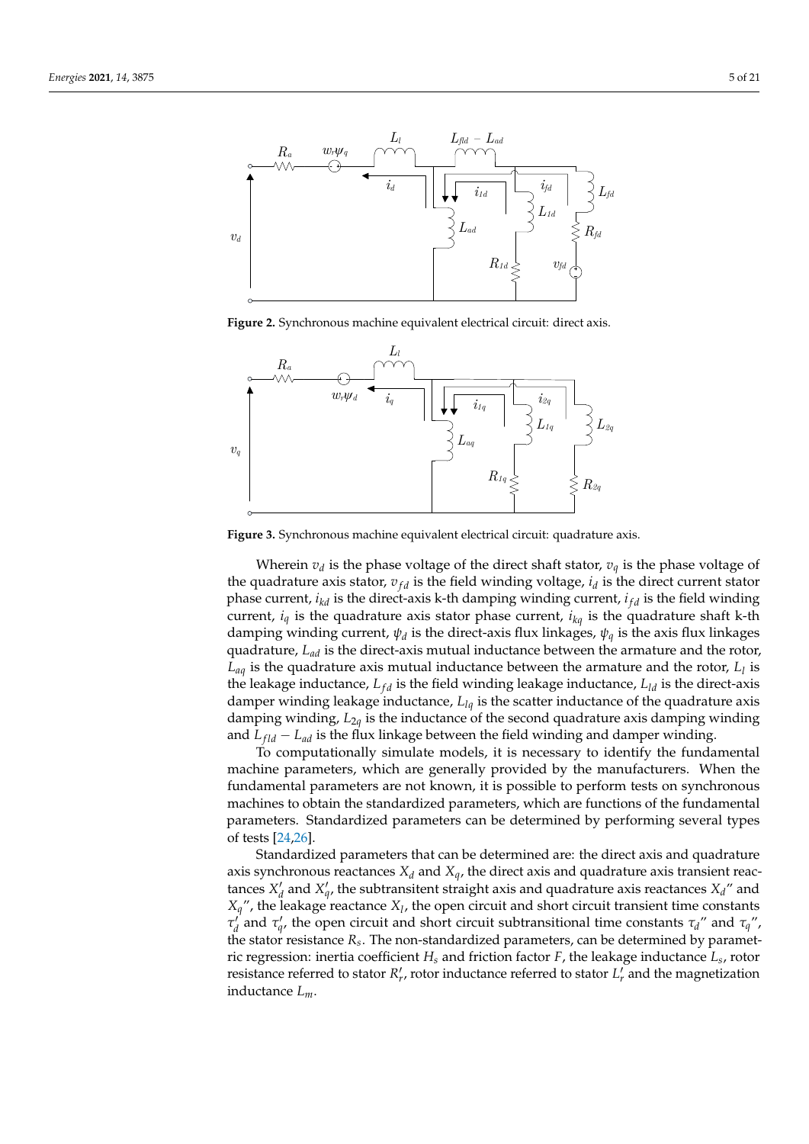<span id="page-4-0"></span>

**Figure 2.** Synchronous machine equivalent electrical circuit: direct axis.

<span id="page-4-1"></span>

**Figure 3.** Synchronous machine equivalent electrical circuit: quadrature axis.

Wherein  $v_d$  is the phase voltage of the direct shaft stator,  $v_q$  is the phase voltage of the quadrature axis stator,  $v_{fd}$  is the field winding voltage,  $i_d$  is the direct current stator phase current, *i<sub>kd</sub>* is the direct-axis k-th damping winding current, *i<sub>f d</sub>* is the field winding current,  $i_q$  is the quadrature axis stator phase current,  $i_{kq}$  is the quadrature shaft k-th damping winding current, *ψ<sup>d</sup>* is the direct-axis flux linkages, *ψ<sup>q</sup>* is the axis flux linkages quadrature, *Lad* is the direct-axis mutual inductance between the armature and the rotor, *Laq* is the quadrature axis mutual inductance between the armature and the rotor, *L<sup>l</sup>* is the leakage inductance,  $L_{fd}$  is the field winding leakage inductance,  $L_{ld}$  is the direct-axis damper winding leakage inductance, *Llq* is the scatter inductance of the quadrature axis damping winding, *L*2*<sup>q</sup>* is the inductance of the second quadrature axis damping winding and  $L_{fld} - L_{ad}$  is the flux linkage between the field winding and damper winding.

To computationally simulate models, it is necessary to identify the fundamental machine parameters, which are generally provided by the manufacturers. When the fundamental parameters are not known, it is possible to perform tests on synchronous machines to obtain the standardized parameters, which are functions of the fundamental parameters. Standardized parameters can be determined by performing several types of tests [\[24](#page-19-21)[,26\]](#page-19-23).

Standardized parameters that can be determined are: the direct axis and quadrature axis synchronous reactances  $X_d$  and  $X_q$ , the direct axis and quadrature axis transient reactances  $X_d'$  and  $X_q'$ , the subtransitent straight axis and quadrature axis reactances  $X_d''$  and  $X_q$ ", the leakage reactance  $X_l$ , the open circuit and short circuit transient time constants *τ*<sup>*i*</sup> and *τ*<sup>*i*</sup>, the open circuit and short circuit subtransitional time constants *τ*<sup>*d*</sup> and *τ*<sup>*q*</sup>, the stator resistance *R<sup>s</sup>* . The non-standardized parameters, can be determined by parametric regression: inertia coefficient *H<sup>s</sup>* and friction factor *F*, the leakage inductance *L<sup>s</sup>* , rotor resistance referred to stator  $R'_r$ , rotor inductance referred to stator  $L'_r$  and the magnetization inductance *Lm*.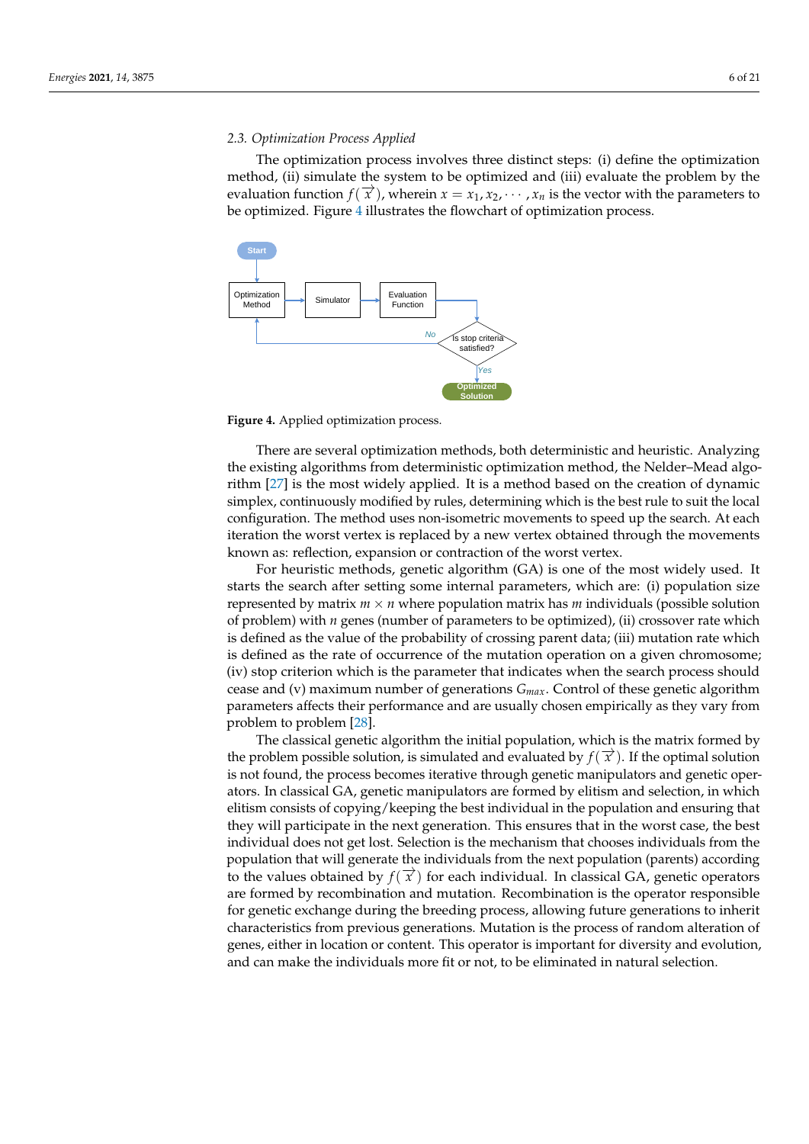## *2.3. Optimization Process Applied*

The optimization process involves three distinct steps: (i) define the optimization method, (ii) simulate the system to be optimized and (iii) evaluate the problem by the evaluation function  $f(\vec{x})$ , wherein  $x = x_1, x_2, \dots, x_n$  is the vector with the parameters to be optimized. Figure [4](#page-5-0) illustrates the flowchart of optimization process.

<span id="page-5-0"></span>

**Figure 4.** Applied optimization process.

There are several optimization methods, both deterministic and heuristic. Analyzing the existing algorithms from deterministic optimization method, the Nelder–Mead algorithm [\[27\]](#page-19-24) is the most widely applied. It is a method based on the creation of dynamic simplex, continuously modified by rules, determining which is the best rule to suit the local configuration. The method uses non-isometric movements to speed up the search. At each iteration the worst vertex is replaced by a new vertex obtained through the movements known as: reflection, expansion or contraction of the worst vertex.

For heuristic methods, genetic algorithm (GA) is one of the most widely used. It starts the search after setting some internal parameters, which are: (i) population size represented by matrix  $m \times n$  where population matrix has  $m$  individuals (possible solution of problem) with *n* genes (number of parameters to be optimized), (ii) crossover rate which is defined as the value of the probability of crossing parent data; (iii) mutation rate which is defined as the rate of occurrence of the mutation operation on a given chromosome; (iv) stop criterion which is the parameter that indicates when the search process should cease and (v) maximum number of generations *Gmax*. Control of these genetic algorithm parameters affects their performance and are usually chosen empirically as they vary from problem to problem [\[28\]](#page-19-25).

The classical genetic algorithm the initial population, which is the matrix formed by the problem possible solution, is simulated and evaluated by  $f(\vec{x})$ . If the optimal solution is not found, the process becomes iterative through genetic manipulators and genetic operators. In classical GA, genetic manipulators are formed by elitism and selection, in which elitism consists of copying/keeping the best individual in the population and ensuring that they will participate in the next generation. This ensures that in the worst case, the best individual does not get lost. Selection is the mechanism that chooses individuals from the population that will generate the individuals from the next population (parents) according to the values obtained by  $f(\vec{x})$  for each individual. In classical GA, genetic operators are formed by recombination and mutation. Recombination is the operator responsible for genetic exchange during the breeding process, allowing future generations to inherit characteristics from previous generations. Mutation is the process of random alteration of genes, either in location or content. This operator is important for diversity and evolution, and can make the individuals more fit or not, to be eliminated in natural selection.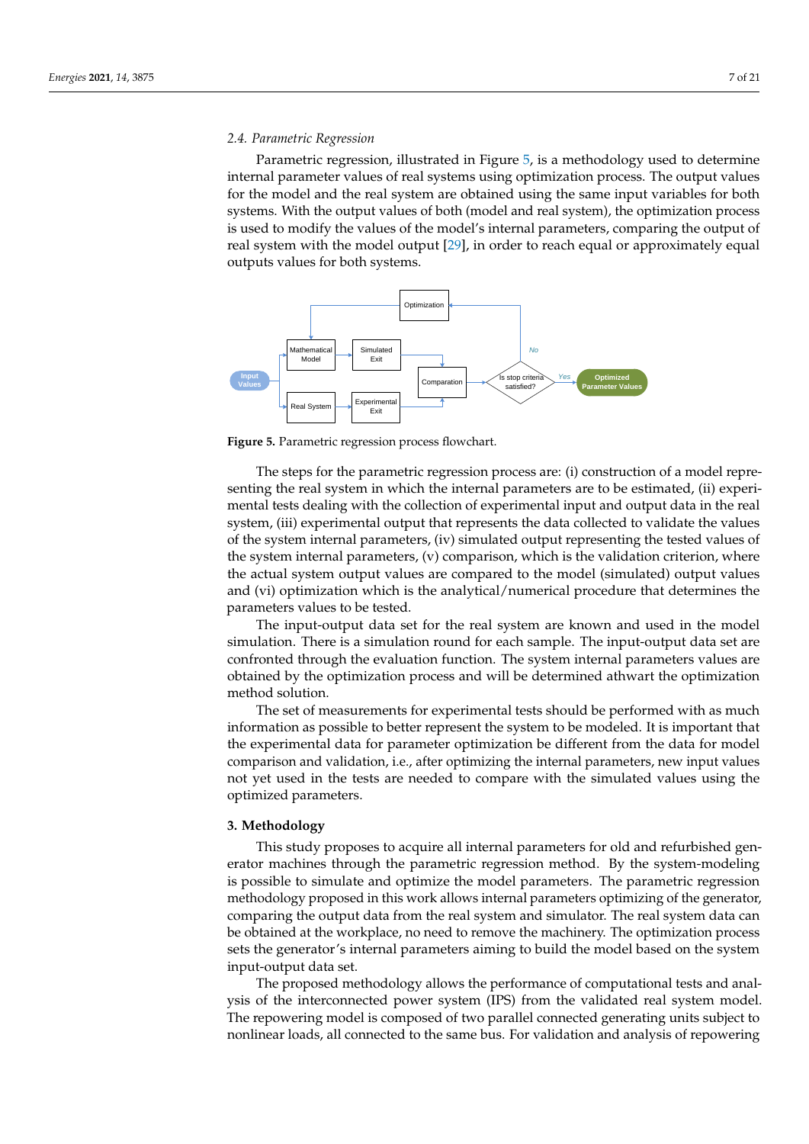#### *2.4. Parametric Regression*

Parametric regression, illustrated in Figure [5,](#page-6-1) is a methodology used to determine internal parameter values of real systems using optimization process. The output values for the model and the real system are obtained using the same input variables for both systems. With the output values of both (model and real system), the optimization process is used to modify the values of the model's internal parameters, comparing the output of real system with the model output [\[29\]](#page-19-26), in order to reach equal or approximately equal outputs values for both systems.

<span id="page-6-1"></span>

**Figure 5.** Parametric regression process flowchart.

The steps for the parametric regression process are: (i) construction of a model representing the real system in which the internal parameters are to be estimated, (ii) experimental tests dealing with the collection of experimental input and output data in the real system, (iii) experimental output that represents the data collected to validate the values of the system internal parameters, (iv) simulated output representing the tested values of the system internal parameters, (v) comparison, which is the validation criterion, where the actual system output values are compared to the model (simulated) output values and (vi) optimization which is the analytical/numerical procedure that determines the parameters values to be tested.

The input-output data set for the real system are known and used in the model simulation. There is a simulation round for each sample. The input-output data set are confronted through the evaluation function. The system internal parameters values are obtained by the optimization process and will be determined athwart the optimization method solution.

The set of measurements for experimental tests should be performed with as much information as possible to better represent the system to be modeled. It is important that the experimental data for parameter optimization be different from the data for model comparison and validation, i.e., after optimizing the internal parameters, new input values not yet used in the tests are needed to compare with the simulated values using the optimized parameters.

# <span id="page-6-0"></span>**3. Methodology**

This study proposes to acquire all internal parameters for old and refurbished generator machines through the parametric regression method. By the system-modeling is possible to simulate and optimize the model parameters. The parametric regression methodology proposed in this work allows internal parameters optimizing of the generator, comparing the output data from the real system and simulator. The real system data can be obtained at the workplace, no need to remove the machinery. The optimization process sets the generator's internal parameters aiming to build the model based on the system input-output data set.

The proposed methodology allows the performance of computational tests and analysis of the interconnected power system (IPS) from the validated real system model. The repowering model is composed of two parallel connected generating units subject to nonlinear loads, all connected to the same bus. For validation and analysis of repowering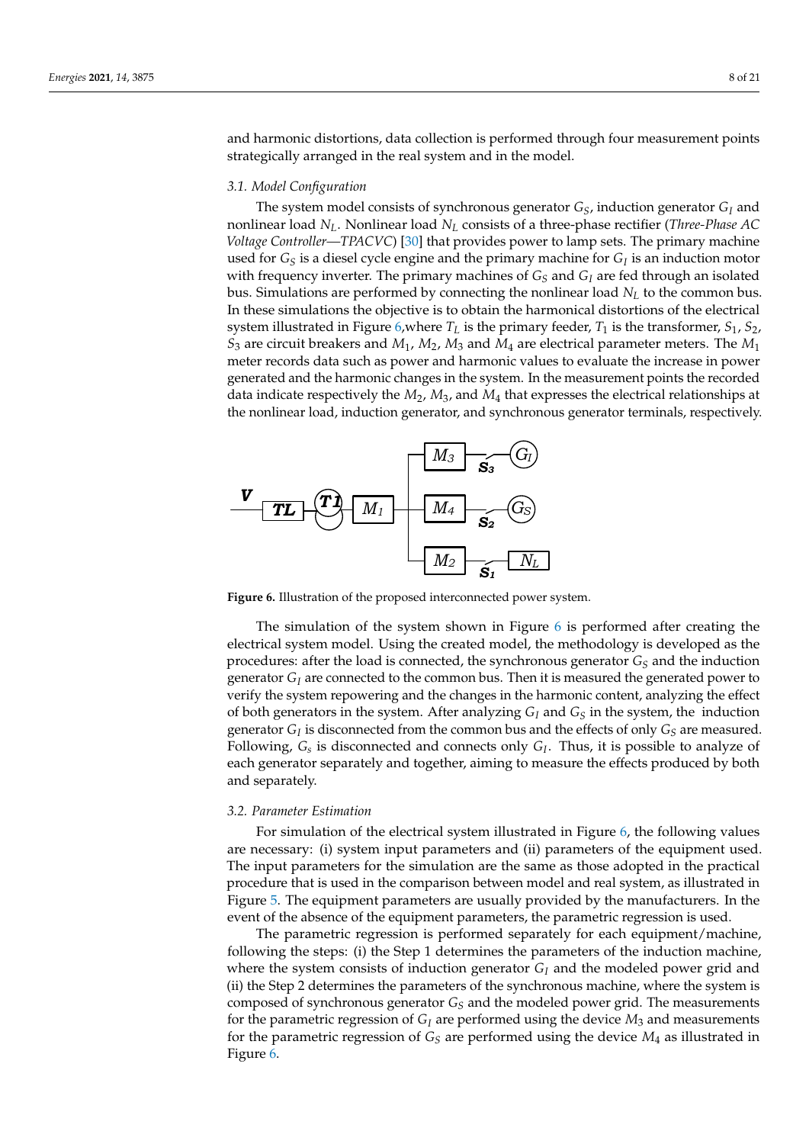and harmonic distortions, data collection is performed through four measurement points strategically arranged in the real system and in the model.

## *3.1. Model Configuration*

The system model consists of synchronous generator *GS*, induction generator *G<sup>I</sup>* and nonlinear load *NL*. Nonlinear load *N<sup>L</sup>* consists of a three-phase rectifier (*Three-Phase AC Voltage Controller—TPACVC*) [\[30\]](#page-19-27) that provides power to lamp sets. The primary machine used for *G<sup>S</sup>* is a diesel cycle engine and the primary machine for *G<sup>I</sup>* is an induction motor with frequency inverter. The primary machines of  $G<sub>S</sub>$  and  $G<sub>I</sub>$  are fed through an isolated bus. Simulations are performed by connecting the nonlinear load  $N_L$  to the common bus. In these simulations the objective is to obtain the harmonical distortions of the electrical system illustrated in Figure [6,](#page-7-0)where  $T_L$  is the primary feeder,  $T_1$  is the transformer,  $S_1$ ,  $S_2$ , *S*<sup>3</sup> are circuit breakers and *M*1, *M*2, *M*<sup>3</sup> and *M*<sup>4</sup> are electrical parameter meters. The *M*<sup>1</sup> meter records data such as power and harmonic values to evaluate the increase in power generated and the harmonic changes in the system. In the measurement points the recorded data indicate respectively the *M*2, *M*3, and *M*<sup>4</sup> that expresses the electrical relationships at the nonlinear load, induction generator, and synchronous generator terminals, respectively.

<span id="page-7-0"></span>

**Figure 6.** Illustration of the proposed interconnected power system.

The simulation of the system shown in Figure [6](#page-7-0) is performed after creating the electrical system model. Using the created model, the methodology is developed as the procedures: after the load is connected, the synchronous generator  $G<sub>S</sub>$  and the induction generator  $G_I$  are connected to the common bus. Then it is measured the generated power to verify the system repowering and the changes in the harmonic content, analyzing the effect of both generators in the system. After analyzing *G<sup>I</sup>* and *G<sup>S</sup>* in the system, the induction generator  $G_I$  is disconnected from the common bus and the effects of only  $G_S$  are measured. Following, *G<sup>s</sup>* is disconnected and connects only *G<sup>I</sup>* . Thus, it is possible to analyze of each generator separately and together, aiming to measure the effects produced by both and separately.

# *3.2. Parameter Estimation*

For simulation of the electrical system illustrated in Figure [6,](#page-7-0) the following values are necessary: (i) system input parameters and (ii) parameters of the equipment used. The input parameters for the simulation are the same as those adopted in the practical procedure that is used in the comparison between model and real system, as illustrated in Figure [5.](#page-6-1) The equipment parameters are usually provided by the manufacturers. In the event of the absence of the equipment parameters, the parametric regression is used.

The parametric regression is performed separately for each equipment/machine, following the steps: (i) the Step 1 determines the parameters of the induction machine, where the system consists of induction generator  $G_I$  and the modeled power grid and (ii) the Step 2 determines the parameters of the synchronous machine, where the system is composed of synchronous generator *G<sup>S</sup>* and the modeled power grid. The measurements for the parametric regression of  $G_I$  are performed using the device  $M_3$  and measurements for the parametric regression of  $G<sub>S</sub>$  are performed using the device  $M<sub>4</sub>$  as illustrated in Figure [6.](#page-7-0)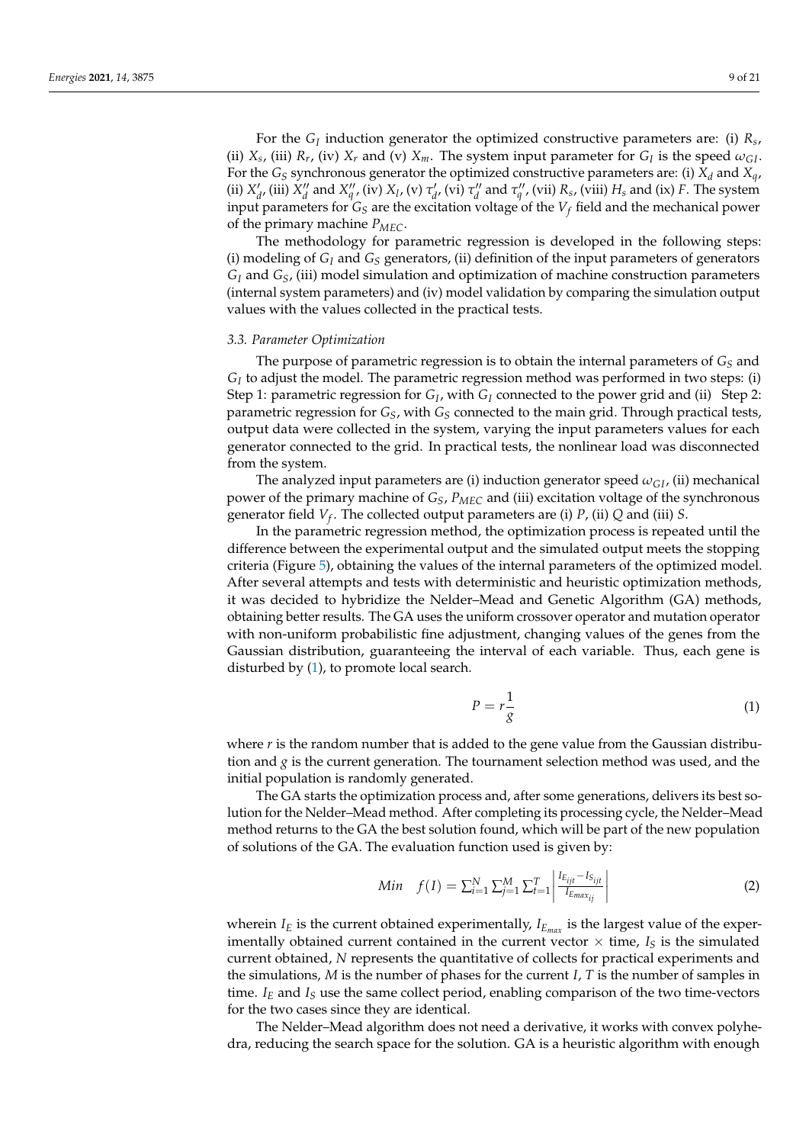For the  $G_I$  induction generator the optimized constructive parameters are: (i)  $R_s$ , (ii)  $X_s$ , (iii)  $R_r$ , (iv)  $X_r$  and (v)  $X_m$ . The system input parameter for  $G_I$  is the speed  $\omega_{GI}$ . For the  $G_S$  synchronous generator the optimized constructive parameters are: (i)  $X_d$  and  $X_d$ , (ii)  $X'_d$ , (iii)  $X''_d$  and  $X''_q$ , (iv)  $X_l$ , (v)  $\tau'_d$ , (vi)  $\tau''_d$  and  $\tau''_q$ , (vii)  $R_s$ , (viii)  $H_s$  and (ix) F. The system input parameters for  $G_S$  are the excitation voltage of the  $V_f$  field and the mechanical power of the primary machine *PMEC*.

The methodology for parametric regression is developed in the following steps: (i) modeling of *G<sup>I</sup>* and *G<sup>S</sup>* generators, (ii) definition of the input parameters of generators *G<sup>I</sup>* and *GS*, (iii) model simulation and optimization of machine construction parameters (internal system parameters) and (iv) model validation by comparing the simulation output values with the values collected in the practical tests.

#### *3.3. Parameter Optimization*

The purpose of parametric regression is to obtain the internal parameters of  $G<sub>S</sub>$  and  $G_I$  to adjust the model. The parametric regression method was performed in two steps: (i) Step 1: parametric regression for *G<sup>I</sup>* , with *G<sup>I</sup>* connected to the power grid and (ii) Step 2: parametric regression for *GS*, with *G<sup>S</sup>* connected to the main grid. Through practical tests, output data were collected in the system, varying the input parameters values for each generator connected to the grid. In practical tests, the nonlinear load was disconnected from the system.

The analyzed input parameters are (i) induction generator speed  $\omega_{GI}$ , (ii) mechanical power of the primary machine of *GS*, *PMEC* and (iii) excitation voltage of the synchronous generator field *V<sup>f</sup>* . The collected output parameters are (i) *P*, (ii) *Q* and (iii) *S*.

In the parametric regression method, the optimization process is repeated until the difference between the experimental output and the simulated output meets the stopping criteria (Figure [5\)](#page-6-1), obtaining the values of the internal parameters of the optimized model. After several attempts and tests with deterministic and heuristic optimization methods, it was decided to hybridize the Nelder–Mead and Genetic Algorithm (GA) methods, obtaining better results. The GA uses the uniform crossover operator and mutation operator with non-uniform probabilistic fine adjustment, changing values of the genes from the Gaussian distribution, guaranteeing the interval of each variable. Thus, each gene is disturbed by [\(1\)](#page-8-0), to promote local search.

<span id="page-8-0"></span>
$$
P = r \frac{1}{g} \tag{1}
$$

where *r* is the random number that is added to the gene value from the Gaussian distribution and *g* is the current generation. The tournament selection method was used, and the initial population is randomly generated.

The GA starts the optimization process and, after some generations, delivers its best solution for the Nelder–Mead method. After completing its processing cycle, the Nelder–Mead method returns to the GA the best solution found, which will be part of the new population of solutions of the GA. The evaluation function used is given by:

<span id="page-8-1"></span>Min 
$$
f(I) = \sum_{i=1}^{N} \sum_{j=1}^{M} \sum_{t=1}^{T} \left| \frac{I_{E_{ijt}} - I_{S_{ijt}}}{I_{E_{max_{ij}}}} \right|
$$
 (2)

wherein  $I_E$  is the current obtained experimentally,  $I_{E_{max}}$  is the largest value of the experimentally obtained current contained in the current vector  $\times$  time,  $I_S$  is the simulated current obtained, *N* represents the quantitative of collects for practical experiments and the simulations, *M* is the number of phases for the current *I*, *T* is the number of samples in time. *I<sup>E</sup>* and *I<sup>S</sup>* use the same collect period, enabling comparison of the two time-vectors for the two cases since they are identical.

The Nelder–Mead algorithm does not need a derivative, it works with convex polyhedra, reducing the search space for the solution. GA is a heuristic algorithm with enough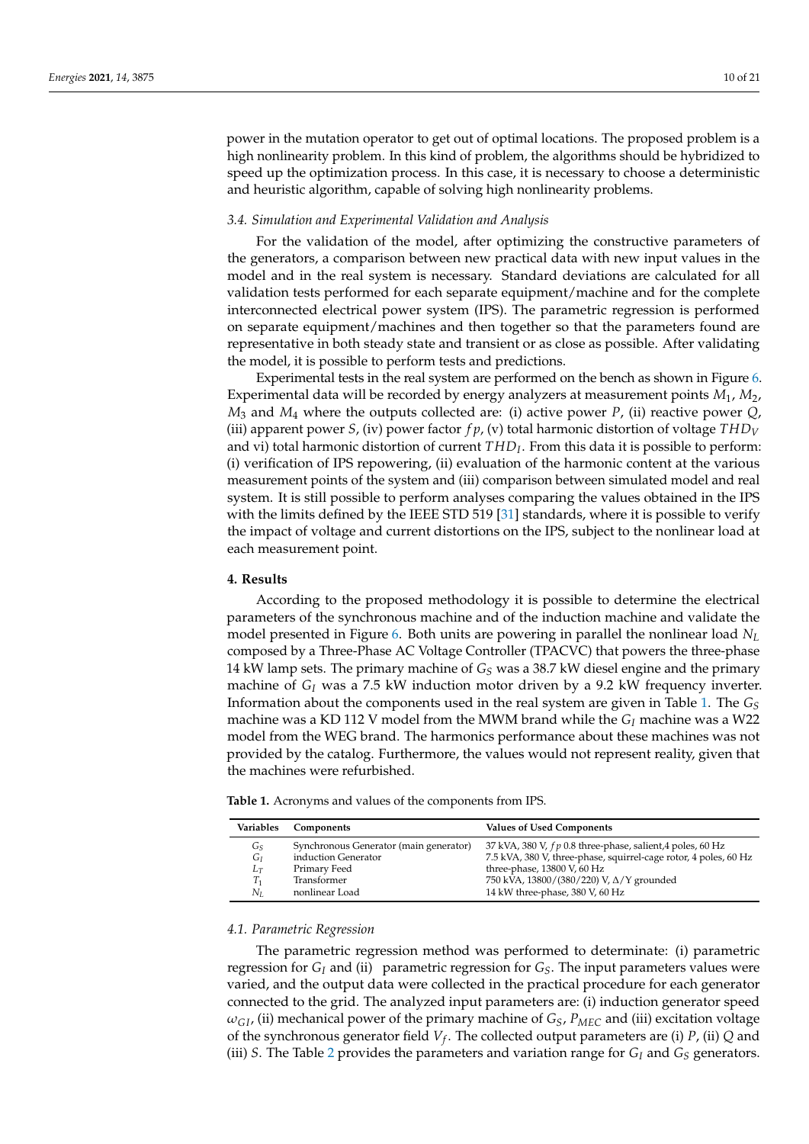power in the mutation operator to get out of optimal locations. The proposed problem is a high nonlinearity problem. In this kind of problem, the algorithms should be hybridized to speed up the optimization process. In this case, it is necessary to choose a deterministic and heuristic algorithm, capable of solving high nonlinearity problems.

# *3.4. Simulation and Experimental Validation and Analysis*

For the validation of the model, after optimizing the constructive parameters of the generators, a comparison between new practical data with new input values in the model and in the real system is necessary. Standard deviations are calculated for all validation tests performed for each separate equipment/machine and for the complete interconnected electrical power system (IPS). The parametric regression is performed on separate equipment/machines and then together so that the parameters found are representative in both steady state and transient or as close as possible. After validating the model, it is possible to perform tests and predictions.

Experimental tests in the real system are performed on the bench as shown in Figure [6.](#page-7-0) Experimental data will be recorded by energy analyzers at measurement points *M*1, *M*2,  $M_3$  and  $M_4$  where the outputs collected are: (i) active power *P*, (ii) reactive power *Q*, (iii) apparent power *S*, (iv) power factor  $fp$ , (v) total harmonic distortion of voltage  $THD<sub>V</sub>$ and vi) total harmonic distortion of current *THD<sup>I</sup>* . From this data it is possible to perform: (i) verification of IPS repowering, (ii) evaluation of the harmonic content at the various measurement points of the system and (iii) comparison between simulated model and real system. It is still possible to perform analyses comparing the values obtained in the IPS with the limits defined by the IEEE STD 519 [\[31\]](#page-20-0) standards, where it is possible to verify the impact of voltage and current distortions on the IPS, subject to the nonlinear load at each measurement point.

## <span id="page-9-0"></span>**4. Results**

According to the proposed methodology it is possible to determine the electrical parameters of the synchronous machine and of the induction machine and validate the model presented in Figure [6.](#page-7-0) Both units are powering in parallel the nonlinear load *N<sup>L</sup>* composed by a Three-Phase AC Voltage Controller (TPACVC) that powers the three-phase 14 kW lamp sets. The primary machine of *G<sup>S</sup>* was a 38.7 kW diesel engine and the primary machine of  $G_I$  was a 7.5 kW induction motor driven by a 9.2 kW frequency inverter. Information about the components used in the real system are given in Table [1.](#page-9-1) The *G<sup>S</sup>* machine was a KD 112 V model from the MWM brand while the *G<sup>I</sup>* machine was a W22 model from the WEG brand. The harmonics performance about these machines was not provided by the catalog. Furthermore, the values would not represent reality, given that the machines were refurbished.

<span id="page-9-1"></span>**Table 1.** Acronyms and values of the components from IPS.

| Variables | Components                             | <b>Values of Used Components</b>                                 |
|-----------|----------------------------------------|------------------------------------------------------------------|
| Gs        | Synchronous Generator (main generator) | 37 kVA, 380 V, $fp$ 0.8 three-phase, salient, 4 poles, 60 Hz     |
| Gг        | induction Generator                    | 7.5 kVA, 380 V, three-phase, squirrel-cage rotor, 4 poles, 60 Hz |
| $L_T$     | Primary Feed                           | three-phase, 13800 V, 60 Hz                                      |
| T1        | Transformer                            | 750 kVA, 13800/(380/220) V, ∆/Y grounded                         |
| Nī.       | nonlinear Load                         | 14 kW three-phase, 380 V, 60 Hz                                  |

#### *4.1. Parametric Regression*

The parametric regression method was performed to determinate: (i) parametric regression for *G<sup>I</sup>* and (ii) parametric regression for *GS*. The input parameters values were varied, and the output data were collected in the practical procedure for each generator connected to the grid. The analyzed input parameters are: (i) induction generator speed  $\omega_{GL}$  (ii) mechanical power of the primary machine of  $G_S$ ,  $P_{MEC}$  and (iii) excitation voltage of the synchronous generator field *V<sup>f</sup>* . The collected output parameters are (i) *P*, (ii) *Q* and (iii) *S*. The Table [2](#page-10-0) provides the parameters and variation range for  $G_I$  and  $G_S$  generators.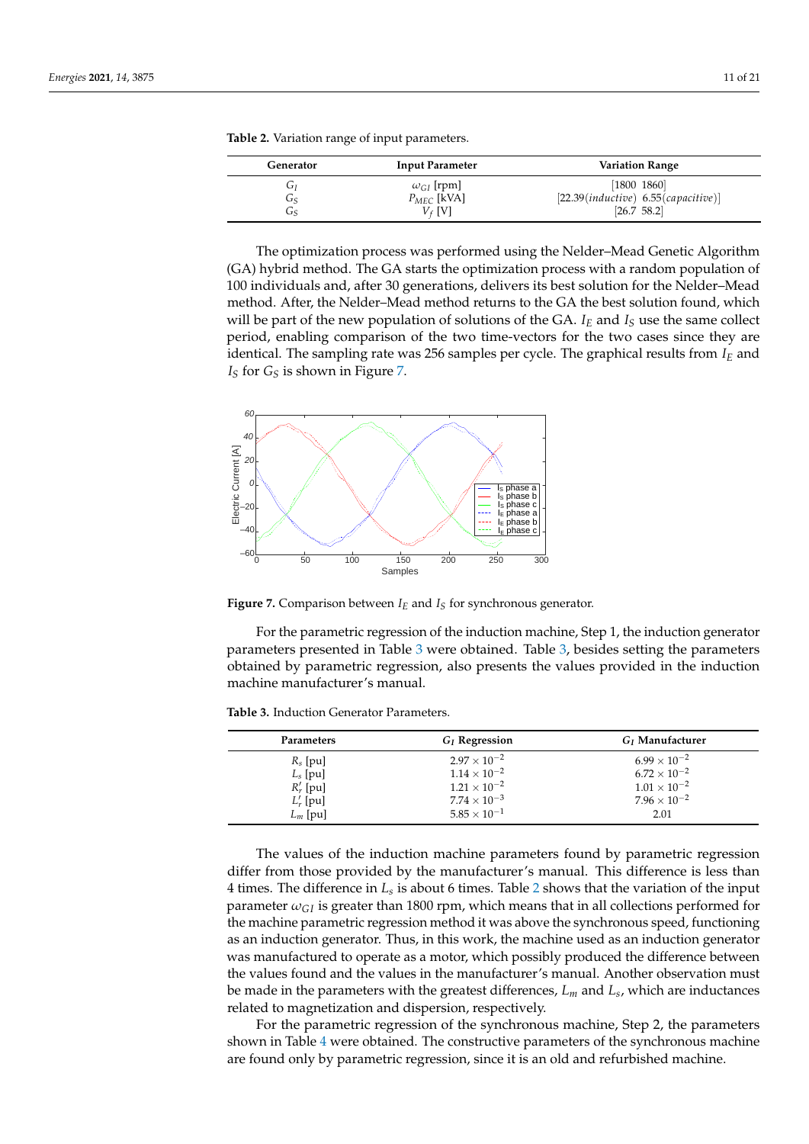| Generator | <b>Input Parameter</b> | <b>Variation Range</b>               |
|-----------|------------------------|--------------------------------------|
| ر حا      | $\omega_{GI}$ [rpm]    | [1800 1860]                          |
| ى         | $P_{MEC}$ [kVA]        | [22.39(intductive) 6.55(capacitive)] |
| ى         | V4 IVI                 | [26.7 58.2]                          |

<span id="page-10-0"></span>**Table 2.** Variation range of input parameters.

The optimization process was performed using the Nelder–Mead Genetic Algorithm (GA) hybrid method. The GA starts the optimization process with a random population of 100 individuals and, after 30 generations, delivers its best solution for the Nelder–Mead method. After, the Nelder–Mead method returns to the GA the best solution found, which will be part of the new population of solutions of the GA.  $I_F$  and  $I_S$  use the same collect period, enabling comparison of the two time-vectors for the two cases since they are identical. The sampling rate was 256 samples per cycle. The graphical results from *I<sup>E</sup>* and *I<sup>S</sup>* for *G<sup>S</sup>* is shown in Figure [7.](#page-10-1)

<span id="page-10-1"></span>

**Figure 7.** Comparison between  $I<sub>E</sub>$  and  $I<sub>S</sub>$  for synchronous generator.

For the parametric regression of the induction machine, Step 1, the induction generator parameters presented in Table [3](#page-10-2) were obtained. Table [3,](#page-10-2) besides setting the parameters obtained by parametric regression, also presents the values provided in the induction machine manufacturer's manual.

<span id="page-10-2"></span>**Table 3.** Induction Generator Parameters.

| <b>Parameters</b> | $G_I$ Regression      | $G_I$ Manufacturer    |
|-------------------|-----------------------|-----------------------|
| $R_s$ [pu]        | $2.97 \times 10^{-2}$ | $6.99 \times 10^{-2}$ |
| $L_s$ [pu]        | $1.14 \times 10^{-2}$ | $6.72 \times 10^{-2}$ |
| $R'_r$ [pu]       | $1.21 \times 10^{-2}$ | $1.01 \times 10^{-2}$ |
| $L'_r$ [pu]       | $7.74 \times 10^{-3}$ | $7.96 \times 10^{-2}$ |
| $L_m$ [pu]        | $5.85 \times 10^{-1}$ | 2.01                  |

The values of the induction machine parameters found by parametric regression differ from those provided by the manufacturer's manual. This difference is less than 4 times. The difference in *L<sup>s</sup>* is about 6 times. Table [2](#page-10-0) shows that the variation of the input parameter  $\omega_{GI}$  is greater than 1800 rpm, which means that in all collections performed for the machine parametric regression method it was above the synchronous speed, functioning as an induction generator. Thus, in this work, the machine used as an induction generator was manufactured to operate as a motor, which possibly produced the difference between the values found and the values in the manufacturer's manual. Another observation must be made in the parameters with the greatest differences, *L<sup>m</sup>* and *L<sup>s</sup>* , which are inductances related to magnetization and dispersion, respectively.

For the parametric regression of the synchronous machine, Step 2, the parameters shown in Table [4](#page-11-0) were obtained. The constructive parameters of the synchronous machine are found only by parametric regression, since it is an old and refurbished machine.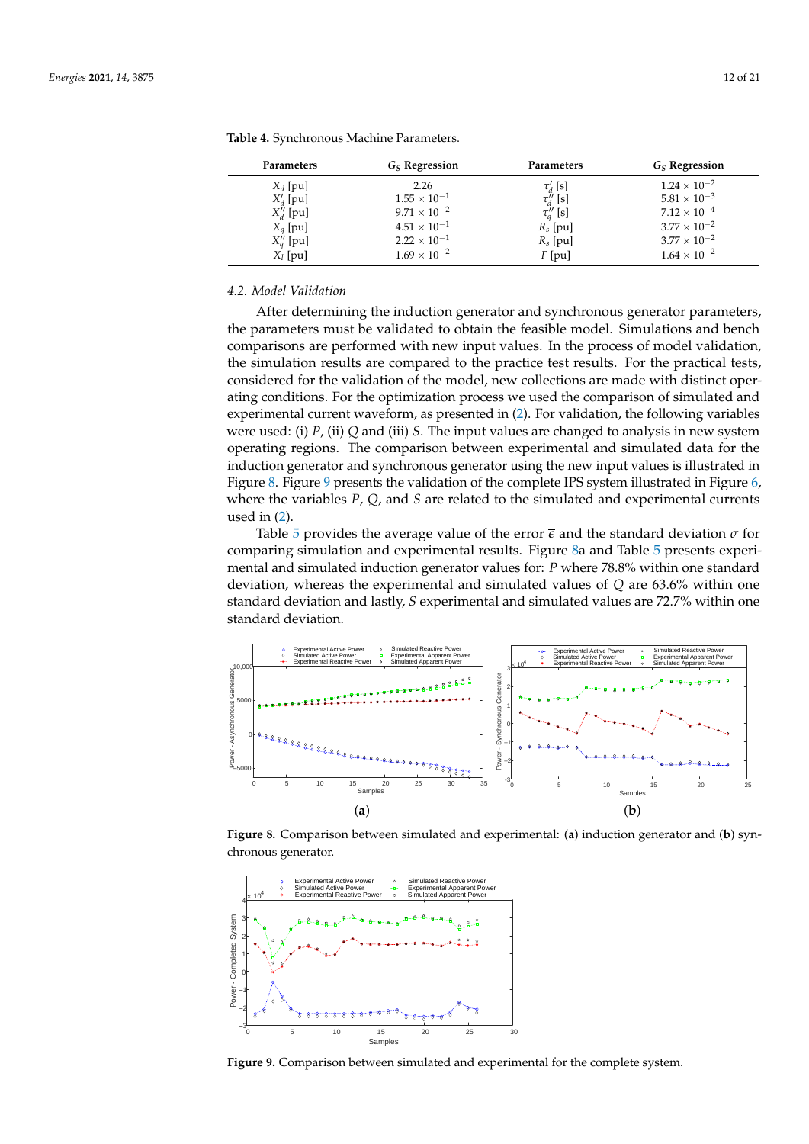| <b>Parameters</b> | $GS$ Regression       | Parameters     | $GS$ Regression       |
|-------------------|-----------------------|----------------|-----------------------|
| $X_d$ [pu]        | 2.26                  | $\tau_d$ [s]   | $1.24 \times 10^{-2}$ |
| $X'_d$ [pu]       | $1.55 \times 10^{-1}$ | $\tau''_d$ [s] | $5.81 \times 10^{-3}$ |
| $X''_d$ [pu]      | $9.71 \times 10^{-2}$ | $\tau''_q$ [s] | $7.12 \times 10^{-4}$ |
| $X_q$ [pu]        | $4.51 \times 10^{-1}$ | $R_s$ [pu]     | $3.77 \times 10^{-2}$ |
| $X''_q$ [pu]      | $2.22 \times 10^{-1}$ | $R_s$ [pu]     | $3.77 \times 10^{-2}$ |
| $X_l$ [pu]        | $1.69 \times 10^{-2}$ | $F$ [pu]       | $1.64\times10^{-2}$   |

<span id="page-11-0"></span>**Table 4.** Synchronous Machine Parameters.

# <span id="page-11-3"></span>*4.2. Model Validation*

After determining the induction generator and synchronous generator parameters, the parameters must be validated to obtain the feasible model. Simulations and bench comparisons are performed with new input values. In the process of model validation, the simulation results are compared to the practice test results. For the practical tests, considered for the validation of the model, new collections are made with distinct operating conditions. For the optimization process we used the comparison of simulated and experimental current waveform, as presented in [\(2\)](#page-8-1). For validation, the following variables were used: (i) *P*, (ii) *Q* and (iii) *S*. The input values are changed to analysis in new system operating regions. The comparison between experimental and simulated data for the induction generator and synchronous generator using the new input values is illustrated in Figure [8.](#page-11-1) Figure [9](#page-11-2) presents the validation of the complete IPS system illustrated in Figure [6,](#page-7-0) where the variables *P*, *Q*, and *S* are related to the simulated and experimental currents used in [\(2\)](#page-8-1).

Table [5](#page-12-0) provides the average value of the error  $\bar{\epsilon}$  and the standard deviation  $\sigma$  for comparing simulation and experimental results. Figure [8a](#page-11-1) and Table [5](#page-12-0) presents experimental and simulated induction generator values for: *P* where 78.8% within one standard deviation, whereas the experimental and simulated values of *Q* are 63.6% within one standard deviation and lastly, *S* experimental and simulated values are 72.7% within one standard deviation.

<span id="page-11-1"></span>

**Figure 8.** Comparison between simulated and experimental: (**a**) induction generator and (**b**) synchronous generator.

<span id="page-11-2"></span>

**Figure 9.** Comparison between simulated and experimental for the complete system.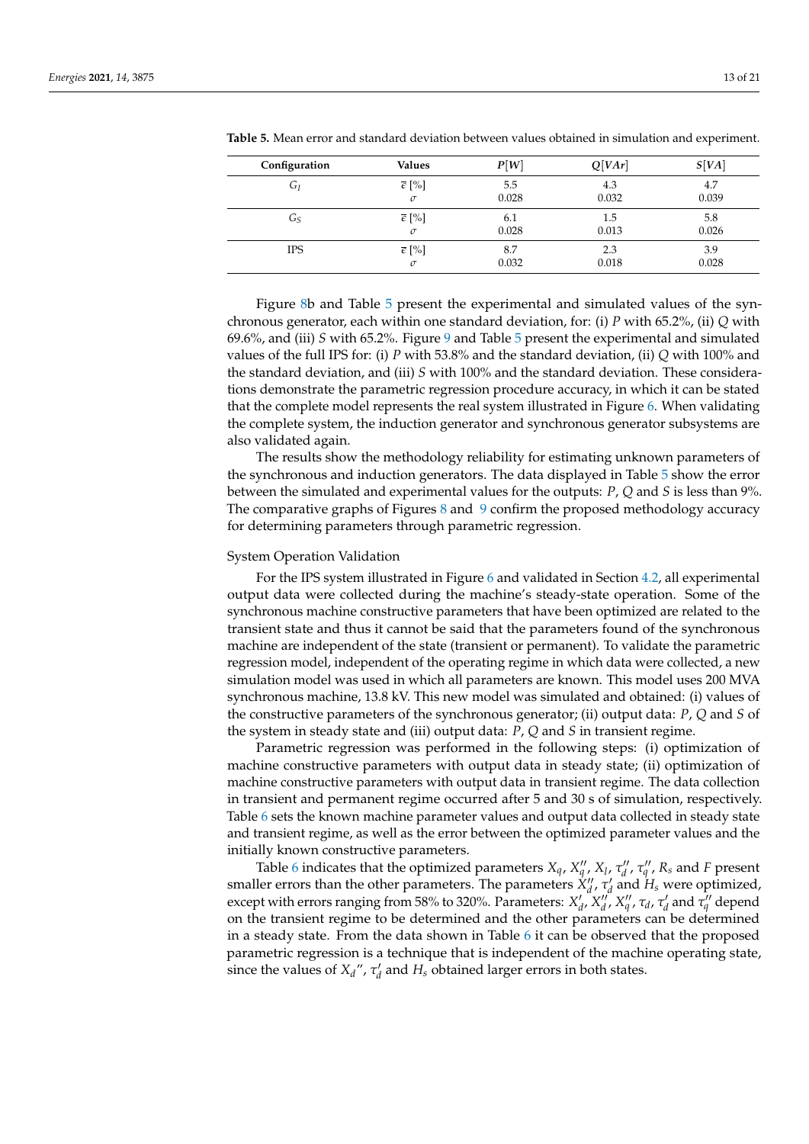| Configuration | <b>Values</b>        | P[W]  | Q[Var] | S[VA] |
|---------------|----------------------|-------|--------|-------|
| $G_I$         | $\bar{\epsilon}$ [%] | 5.5   | 4.3    | 4.7   |
|               | $\sigma$             | 0.028 | 0.032  | 0.039 |
| Gs            | $\bar{\epsilon}$ [%] | 6.1   | 1.5    | 5.8   |
|               | $\sigma$             | 0.028 | 0.013  | 0.026 |
| <b>IPS</b>    | $\bar{\epsilon}$ [%] | 8.7   | 2.3    | 3.9   |
|               | $\sigma$             | 0.032 | 0.018  | 0.028 |

<span id="page-12-0"></span>**Table 5.** Mean error and standard deviation between values obtained in simulation and experiment.

Figure [8b](#page-11-1) and Table [5](#page-12-0) present the experimental and simulated values of the synchronous generator, each within one standard deviation, for: (i) *P* with 65.2%, (ii) *Q* with 69.6%, and (iii) *S* with 65.2%. Figure [9](#page-11-2) and Table [5](#page-12-0) present the experimental and simulated values of the full IPS for: (i) *P* with 53.8% and the standard deviation, (ii) *Q* with 100% and the standard deviation, and (iii) *S* with 100% and the standard deviation. These considerations demonstrate the parametric regression procedure accuracy, in which it can be stated that the complete model represents the real system illustrated in Figure [6.](#page-7-0) When validating the complete system, the induction generator and synchronous generator subsystems are also validated again.

The results show the methodology reliability for estimating unknown parameters of the synchronous and induction generators. The data displayed in Table [5](#page-12-0) show the error between the simulated and experimental values for the outputs: *P*, *Q* and *S* is less than 9%. The comparative graphs of Figures [8](#page-11-1) and [9](#page-11-2) confirm the proposed methodology accuracy for determining parameters through parametric regression.

# System Operation Validation

For the IPS system illustrated in Figure [6](#page-7-0) and validated in Section [4.2,](#page-11-3) all experimental output data were collected during the machine's steady-state operation. Some of the synchronous machine constructive parameters that have been optimized are related to the transient state and thus it cannot be said that the parameters found of the synchronous machine are independent of the state (transient or permanent). To validate the parametric regression model, independent of the operating regime in which data were collected, a new simulation model was used in which all parameters are known. This model uses 200 MVA synchronous machine, 13.8 kV. This new model was simulated and obtained: (i) values of the constructive parameters of the synchronous generator; (ii) output data: *P*, *Q* and *S* of the system in steady state and (iii) output data: *P*, *Q* and *S* in transient regime.

Parametric regression was performed in the following steps: (i) optimization of machine constructive parameters with output data in steady state; (ii) optimization of machine constructive parameters with output data in transient regime. The data collection in transient and permanent regime occurred after 5 and 30 s of simulation, respectively. Table [6](#page-13-0) sets the known machine parameter values and output data collected in steady state and transient regime, as well as the error between the optimized parameter values and the initially known constructive parameters.

Table [6](#page-13-0) indicates that the optimized parameters  $X_q$ ,  $X_q''$ ,  $X_l$ ,  $\tau_d''$ ,  $\tau_q''$ ,  $R_s$  and *F* present smaller errors than the other parameters. The parameters  $\dot{X}_{d}^{\prime\prime}$ ,  $\tau_{d}^{\prime}$  and  $H_{s}$  were optimized, except with errors ranging from 58% to 320%. Parameters:  $X'_d$ ,  $X''_d$ ,  $X''_d$ ,  $\tau_d$ ,  $\tau'_d$  and  $\tau''_q$  depend on the transient regime to be determined and the other parameters can be determined in a steady state. From the data shown in Table  $6$  it can be observed that the proposed parametric regression is a technique that is independent of the machine operating state, since the values of  $X_d''$ ,  $\tau'_d$  and  $H_s$  obtained larger errors in both states.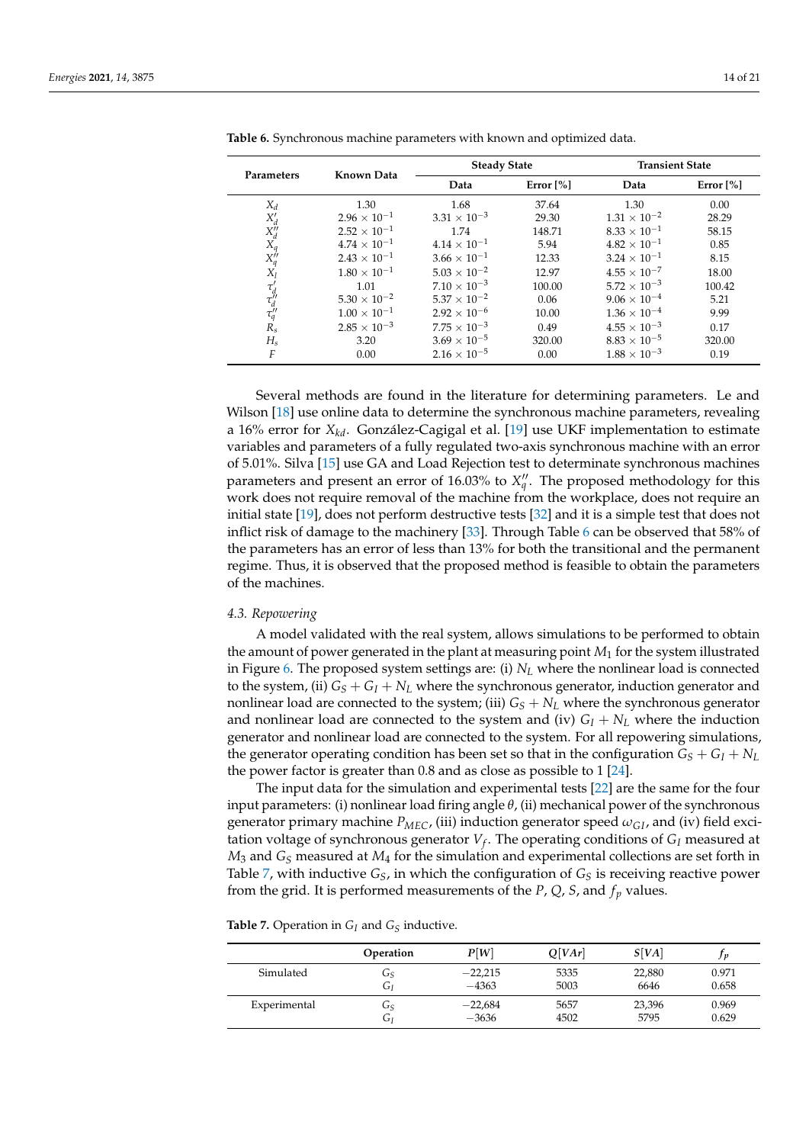| Parameters                                     | Known Data            | <b>Steady State</b>   |              | <b>Transient State</b> |              |  |
|------------------------------------------------|-----------------------|-----------------------|--------------|------------------------|--------------|--|
|                                                |                       | Data                  | Error $[\%]$ | Data                   | Error $[\%]$ |  |
| $X_d$                                          | 1.30                  | 1.68                  | 37.64        | 1.30                   | 0.00         |  |
|                                                | $2.96 \times 10^{-1}$ | $3.31 \times 10^{-3}$ | 29.30        | $1.31 \times 10^{-2}$  | 28.29        |  |
| $X_d'$<br>$X_d''$                              | $2.52 \times 10^{-1}$ | 1.74                  | 148.71       | $8.33 \times 10^{-1}$  | 58.15        |  |
| $X_q$                                          | $4.74 \times 10^{-1}$ | $4.14 \times 10^{-1}$ | 5.94         | $4.82 \times 10^{-1}$  | 0.85         |  |
| $X''_q$                                        | $2.43 \times 10^{-1}$ | $3.66 \times 10^{-1}$ | 12.33        | $3.24 \times 10^{-1}$  | 8.15         |  |
| $X_l$                                          | $1.80 \times 10^{-1}$ | $5.03 \times 10^{-2}$ | 12.97        | $4.55 \times 10^{-7}$  | 18.00        |  |
|                                                | 1.01                  | $7.10 \times 10^{-3}$ | 100.00       | $5.72 \times 10^{-3}$  | 100.42       |  |
|                                                | $5.30 \times 10^{-2}$ | $5.37 \times 10^{-2}$ | 0.06         | $9.06 \times 10^{-4}$  | 5.21         |  |
| $\tau_d'$<br>$\tau_d''$<br>$\tau_q''$<br>$R_s$ | $1.00 \times 10^{-1}$ | $2.92 \times 10^{-6}$ | 10.00        | $1.36 \times 10^{-4}$  | 9.99         |  |
|                                                | $2.85 \times 10^{-3}$ | $7.75 \times 10^{-3}$ | 0.49         | $4.55 \times 10^{-3}$  | 0.17         |  |
| $H_s$                                          | 3.20                  | $3.69 \times 10^{-5}$ | 320.00       | $8.83 \times 10^{-5}$  | 320.00       |  |
| F                                              | 0.00                  | $2.16 \times 10^{-5}$ | 0.00         | $1.88 \times 10^{-3}$  | 0.19         |  |

<span id="page-13-0"></span>**Table 6.** Synchronous machine parameters with known and optimized data.

Several methods are found in the literature for determining parameters. Le and Wilson [\[18\]](#page-19-15) use online data to determine the synchronous machine parameters, revealing a 16% error for *Xkd*. González-Cagigal et al. [\[19\]](#page-19-16) use UKF implementation to estimate variables and parameters of a fully regulated two-axis synchronous machine with an error of 5.01%. Silva [\[15\]](#page-19-12) use GA and Load Rejection test to determinate synchronous machines parameters and present an error of 16.03% to  $X''_q$ . The proposed methodology for this work does not require removal of the machine from the workplace, does not require an initial state [\[19\]](#page-19-16), does not perform destructive tests [\[32\]](#page-20-1) and it is a simple test that does not inflict risk of damage to the machinery [\[33\]](#page-20-2). Through Table [6](#page-13-0) can be observed that 58% of the parameters has an error of less than 13% for both the transitional and the permanent regime. Thus, it is observed that the proposed method is feasible to obtain the parameters of the machines.

# *4.3. Repowering*

A model validated with the real system, allows simulations to be performed to obtain the amount of power generated in the plant at measuring point *M*<sup>1</sup> for the system illustrated in Figure [6.](#page-7-0) The proposed system settings are: (i) *N<sup>L</sup>* where the nonlinear load is connected to the system, (ii)  $G_S + G_I + N_L$  where the synchronous generator, induction generator and nonlinear load are connected to the system; (iii)  $G_S + N_L$  where the synchronous generator and nonlinear load are connected to the system and (iv)  $G_I + N_L$  where the induction generator and nonlinear load are connected to the system. For all repowering simulations, the generator operating condition has been set so that in the configuration  $G_S + G_I + N_L$ the power factor is greater than 0.8 and as close as possible to 1 [\[24\]](#page-19-21).

The input data for the simulation and experimental tests [\[22\]](#page-19-19) are the same for the four input parameters: (i) nonlinear load firing angle *θ*, (ii) mechanical power of the synchronous generator primary machine  $P_{MEC}$ , (iii) induction generator speed  $\omega_{GI}$ , and (iv) field excitation voltage of synchronous generator *V<sup>f</sup>* . The operating conditions of *G<sup>I</sup>* measured at  $M_3$  and  $G_S$  measured at  $M_4$  for the simulation and experimental collections are set forth in Table [7,](#page-13-1) with inductive  $G_S$ , in which the configuration of  $G_S$  is receiving reactive power from the grid. It is performed measurements of the *P*, *Q*, *S*, and *f<sup>p</sup>* values.

<span id="page-13-1"></span>**Table 7.** Operation in *G<sup>I</sup>* and *G<sup>S</sup>* inductive.

|              | Operation | P[W]      | Q[Var] | S[VA]  | v     |
|--------------|-----------|-----------|--------|--------|-------|
| Simulated    | ى         | $-22,215$ | 5335   | 22,880 | 0.971 |
|              | GI        | $-4363$   | 5003   | 6646   | 0.658 |
| Experimental | ى         | $-22,684$ | 5657   | 23,396 | 0.969 |
|              | GI        | $-3636$   | 4502   | 5795   | 0.629 |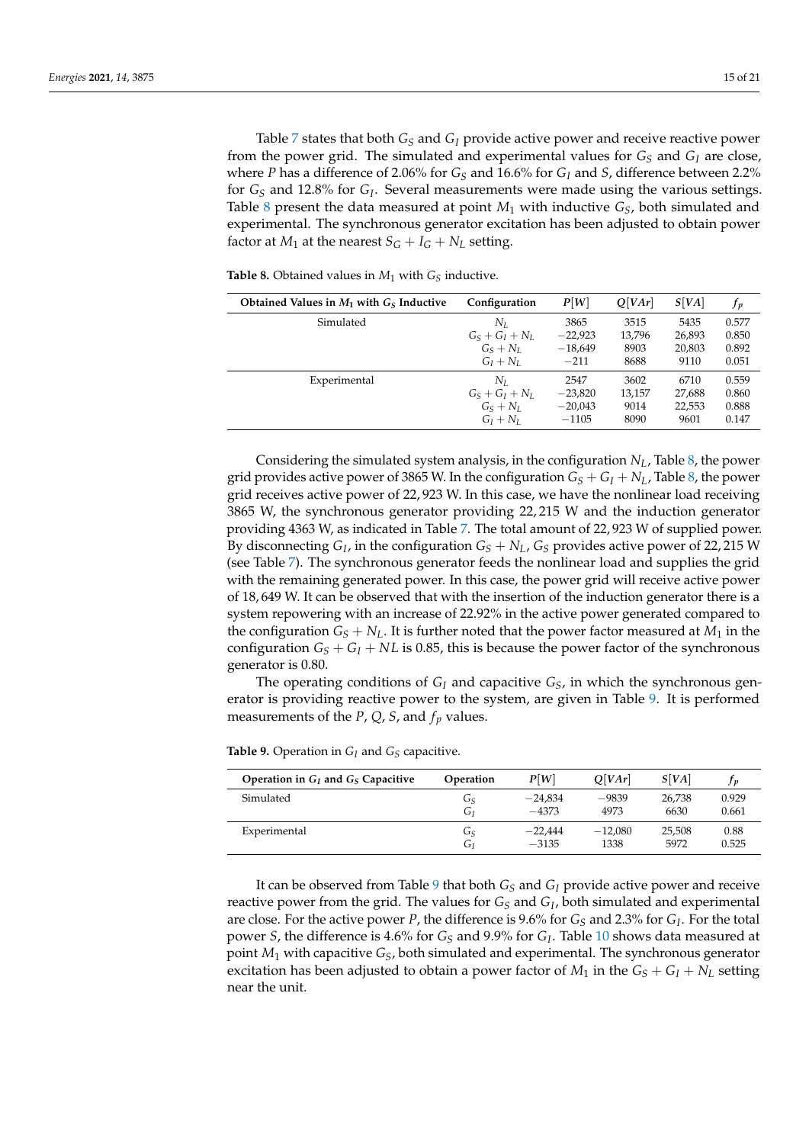Table [7](#page-13-1) states that both *G<sup>S</sup>* and *G<sup>I</sup>* provide active power and receive reactive power from the power grid. The simulated and experimental values for  $G<sub>S</sub>$  and  $G<sub>I</sub>$  are close, where *P* has a difference of 2.06% for  $G_S$  and 16.6% for  $G_I$  and *S*, difference between 2.2% for *G<sup>S</sup>* and 12.8% for *G<sup>I</sup>* . Several measurements were made using the various settings. Table [8](#page-14-0) present the data measured at point  $M_1$  with inductive  $G_S$ , both simulated and experimental. The synchronous generator excitation has been adjusted to obtain power factor at  $M_1$  at the nearest  $S_G + I_G + N_L$  setting.

<span id="page-14-0"></span>**Table 8.** Obtained values in  $M_1$  with  $G_S$  inductive.

| Obtained Values in $M_1$ with $GS$ Inductive | Configuration     | P[W]      | O[Var] | S[VA]  | f p   |
|----------------------------------------------|-------------------|-----------|--------|--------|-------|
| Simulated                                    | Nτ                | 3865      | 3515   | 5435   | 0.577 |
|                                              | $G_S + G_I + N_L$ | $-22,923$ | 13,796 | 26,893 | 0.850 |
|                                              | $G_S + N_L$       | $-18,649$ | 8903   | 20,803 | 0.892 |
|                                              | $G_I + N_I$       | $-211$    | 8688   | 9110   | 0.051 |
| Experimental                                 | Nт                | 2547      | 3602   | 6710   | 0.559 |
|                                              | $G_S + G_I + N_L$ | $-23,820$ | 13,157 | 27,688 | 0.860 |
|                                              | $G_S + N_L$       | $-20,043$ | 9014   | 22,553 | 0.888 |
|                                              | $G_I + N_I$       | $-1105$   | 8090   | 9601   | 0.147 |

Considering the simulated system analysis, in the configuration *NL*, Table [8,](#page-14-0) the power grid provides active power of 3865 W. In the configuration  $G_S + G_I + N_L$ , Table [8,](#page-14-0) the power grid receives active power of 22, 923 W. In this case, we have the nonlinear load receiving 3865 W, the synchronous generator providing 22, 215 W and the induction generator providing 4363 W, as indicated in Table [7.](#page-13-1) The total amount of 22, 923 W of supplied power. By disconnecting  $G_I$ , in the configuration  $G_S + N_L$ ,  $G_S$  provides active power of 22, 215 W (see Table [7\)](#page-13-1). The synchronous generator feeds the nonlinear load and supplies the grid with the remaining generated power. In this case, the power grid will receive active power of 18, 649 W. It can be observed that with the insertion of the induction generator there is a system repowering with an increase of 22.92% in the active power generated compared to the configuration  $G_S + N_L$ . It is further noted that the power factor measured at  $M_1$  in the configuration  $G_S + G_I + NL$  is 0.85, this is because the power factor of the synchronous generator is 0.80.

The operating conditions of *G<sup>I</sup>* and capacitive *GS*, in which the synchronous generator is providing reactive power to the system, are given in Table [9.](#page-14-1) It is performed measurements of the *P*, *Q*, *S*, and  $f_p$  values.

<span id="page-14-1"></span>

|  |  |  |  |  |  | <b>Table 9.</b> Operation in $G_I$ and $G_S$ capacitive. |  |
|--|--|--|--|--|--|----------------------------------------------------------|--|
|--|--|--|--|--|--|----------------------------------------------------------|--|

| Operation in $G_I$ and $G_S$ Capacitive | Operation | P[W]      | O[Var]    | S[VA]  |       |
|-----------------------------------------|-----------|-----------|-----------|--------|-------|
| Simulated                               | Gs        | $-24.834$ | $-9839$   | 26.738 | 0.929 |
|                                         | Gı        | $-4373$   | 4973      | 6630   | 0.661 |
| Experimental                            | Gs        | $-22.444$ | $-12.080$ | 25.508 | 0.88  |
|                                         | Gı        | $-3135$   | 1338      | 5972   | 0.525 |

It can be observed from Table [9](#page-14-1) that both *G<sup>S</sup>* and *G<sup>I</sup>* provide active power and receive reactive power from the grid. The values for *G<sup>S</sup>* and *G<sup>I</sup>* , both simulated and experimental are close. For the active power *P*, the difference is 9.6% for  $G_S$  and 2.3% for  $G_I$ . For the total power *S*, the difference is 4.6% for *G<sup>S</sup>* and 9.9% for *G<sup>I</sup>* . Table [10](#page-15-0) shows data measured at point *M*<sup>1</sup> with capacitive *GS*, both simulated and experimental. The synchronous generator excitation has been adjusted to obtain a power factor of  $M_1$  in the  $G_S + G_I + N_L$  setting near the unit.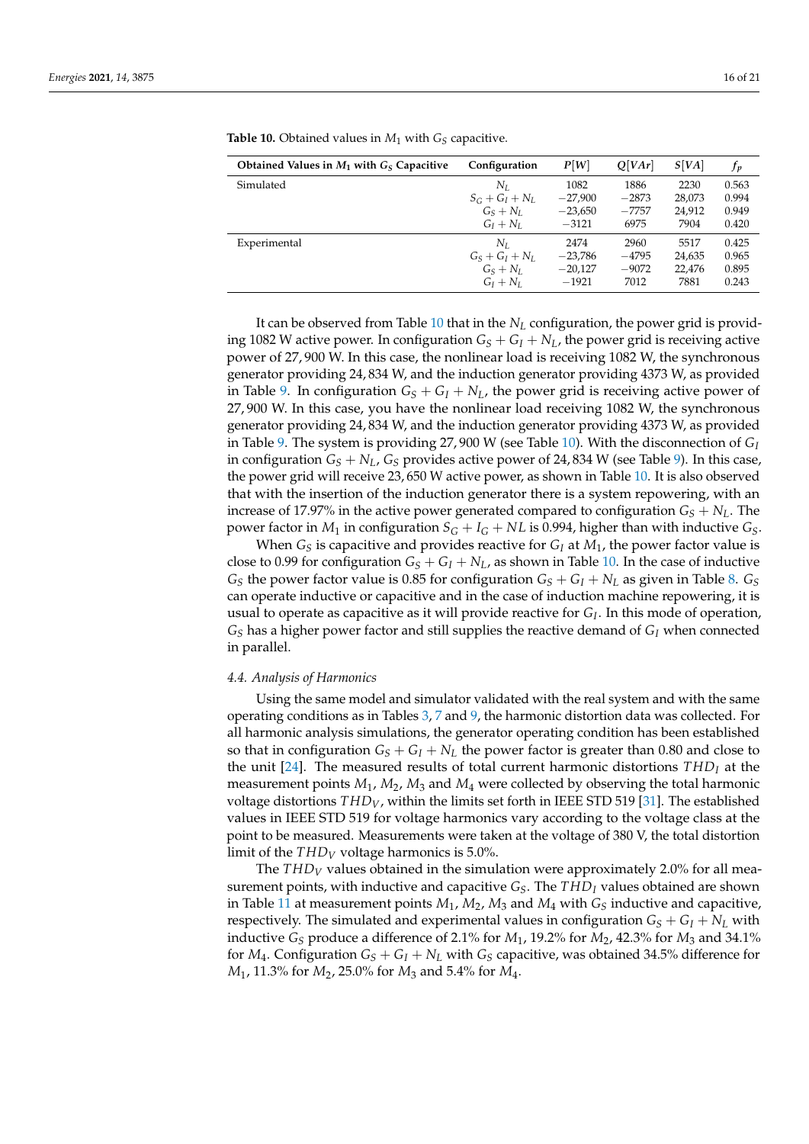| Obtained Values in $M_1$ with $G_S$ Capacitive | Configuration     | P[W]      | O[Var]  | S[VA]  | fр    |
|------------------------------------------------|-------------------|-----------|---------|--------|-------|
| Simulated                                      | $N_L$             | 1082      | 1886    | 2230   | 0.563 |
|                                                | $S_G + G_I + N_L$ | $-27,900$ | $-2873$ | 28,073 | 0.994 |
|                                                | $G_S + N_L$       | $-23,650$ | $-7757$ | 24,912 | 0.949 |
|                                                | $G_I + N_I$       | $-3121$   | 6975    | 7904   | 0.420 |
| Experimental                                   | Nт                | 2474      | 2960    | 5517   | 0.425 |
|                                                | $G_S + G_I + N_I$ | $-23,786$ | $-4795$ | 24,635 | 0.965 |
|                                                | $G_S + N_L$       | $-20.127$ | $-9072$ | 22.476 | 0.895 |
|                                                | $G_I + N_I$       | $-1921$   | 7012    | 7881   | 0.243 |

<span id="page-15-0"></span>**Table 10.** Obtained values in  $M_1$  with  $G_S$  capacitive.

It can be observed from Table [10](#page-15-0) that in the  $N_L$  configuration, the power grid is providing 1082 W active power. In configuration  $G_S + G_I + N_L$ , the power grid is receiving active power of 27, 900 W. In this case, the nonlinear load is receiving 1082 W, the synchronous generator providing 24, 834 W, and the induction generator providing 4373 W, as provided in Table [9.](#page-14-1) In configuration  $G_S + G_I + N_L$ , the power grid is receiving active power of 27, 900 W. In this case, you have the nonlinear load receiving 1082 W, the synchronous generator providing 24, 834 W, and the induction generator providing 4373 W, as provided in Table [9.](#page-14-1) The system is providing 27, 900 W (see Table [10\)](#page-15-0). With the disconnection of *G<sup>I</sup>* in configuration  $G_S + N_L$ ,  $G_S$  provides active power of 24,834 W (see Table [9\)](#page-14-1). In this case, the power grid will receive 23, 650 W active power, as shown in Table [10.](#page-15-0) It is also observed that with the insertion of the induction generator there is a system repowering, with an increase of 17.97% in the active power generated compared to configuration  $G_S + N_L$ . The power factor in  $M_1$  in configuration  $S_G + I_G + NL$  is 0.994, higher than with inductive  $G_S$ .

When  $G<sub>S</sub>$  is capacitive and provides reactive for  $G<sub>I</sub>$  at  $M<sub>1</sub>$ , the power factor value is close to 0.99 for configuration  $G_S + G_I + N_L$ , as shown in Table [10.](#page-15-0) In the case of inductive *G*<sub>*S*</sub> the power factor value is 0.85 for configuration  $G_S + G_I + N_L$  as given in Table [8.](#page-14-0)  $G_S$ can operate inductive or capacitive and in the case of induction machine repowering, it is usual to operate as capacitive as it will provide reactive for *G<sup>I</sup>* . In this mode of operation, *G<sup>S</sup>* has a higher power factor and still supplies the reactive demand of *G<sup>I</sup>* when connected in parallel.

## *4.4. Analysis of Harmonics*

Using the same model and simulator validated with the real system and with the same operating conditions as in Tables [3,](#page-10-2) [7](#page-13-1) and [9,](#page-14-1) the harmonic distortion data was collected. For all harmonic analysis simulations, the generator operating condition has been established so that in configuration  $G_S + G_I + N_L$  the power factor is greater than 0.80 and close to the unit [\[24\]](#page-19-21). The measured results of total current harmonic distortions *THD<sup>I</sup>* at the measurement points  $M_1$ ,  $M_2$ ,  $M_3$  and  $M_4$  were collected by observing the total harmonic voltage distortions *THDV*, within the limits set forth in IEEE STD 519 [\[31\]](#page-20-0). The established values in IEEE STD 519 for voltage harmonics vary according to the voltage class at the point to be measured. Measurements were taken at the voltage of 380 V, the total distortion limit of the *THD<sup>V</sup>* voltage harmonics is 5.0%.

The *THD<sup>V</sup>* values obtained in the simulation were approximately 2.0% for all measurement points, with inductive and capacitive *GS*. The *THD<sup>I</sup>* values obtained are shown in Table [11](#page-16-0) at measurement points  $M_1$ ,  $M_2$ ,  $M_3$  and  $M_4$  with  $G<sub>S</sub>$  inductive and capacitive, respectively. The simulated and experimental values in configuration  $G_S + G_I + N_L$  with inductive *G<sup>S</sup>* produce a difference of 2.1% for *M*1, 19.2% for *M*2, 42.3% for *M*<sup>3</sup> and 34.1% for  $M_4$ . Configuration  $G_S + G_I + N_L$  with  $G_S$  capacitive, was obtained 34.5% difference for *M*1, 11.3% for *M*2, 25.0% for *M*<sup>3</sup> and 5.4% for *M*4.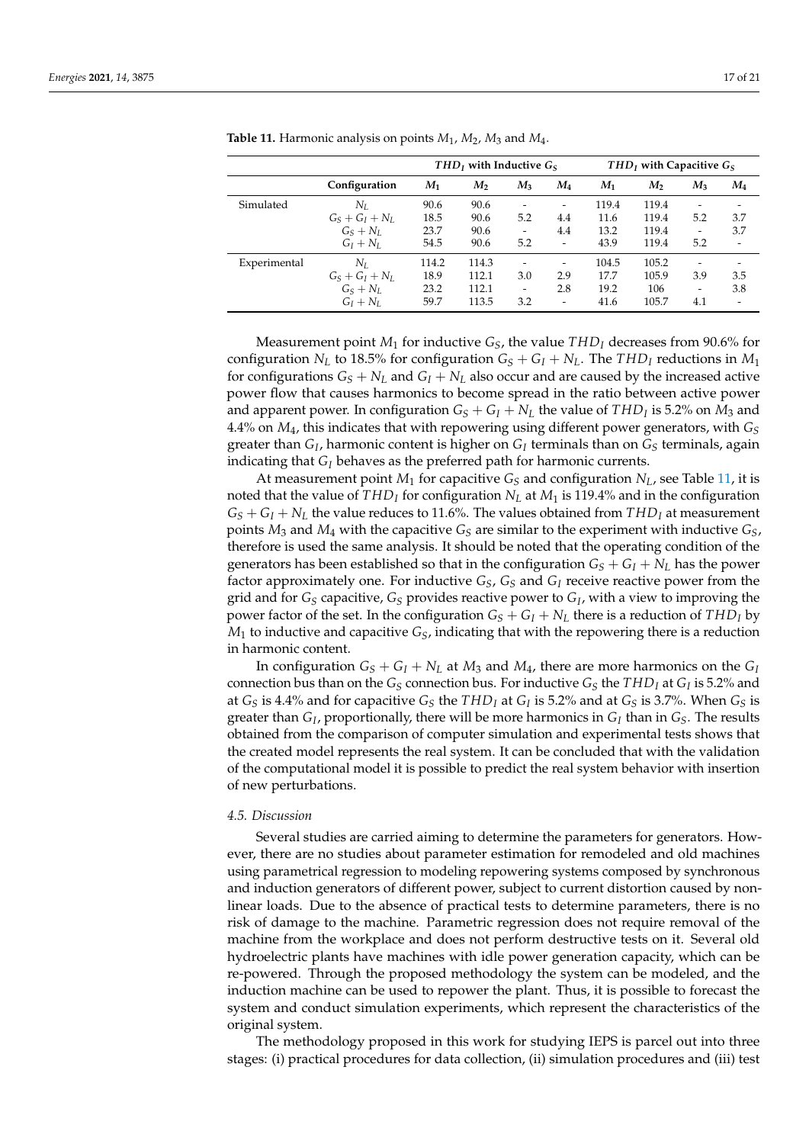|              |                   | $THDI$ with Inductive $GS$ |       |       | $THDI$ with Capacitive $GS$  |       |       |                          |       |
|--------------|-------------------|----------------------------|-------|-------|------------------------------|-------|-------|--------------------------|-------|
|              | Configuration     | $M_1$                      | $M_2$ | $M_3$ | $M_4$                        | $M_1$ | M,    | $M_3$                    | $M_4$ |
| Simulated    | $N_I$             | 90.6                       | 90.6  |       |                              | 119.4 | 119.4 |                          |       |
|              | $G_S + G_I + N_L$ | 18.5                       | 90.6  | 5.2   | 4.4                          | 11.6  | 119.4 | 5.2                      | 3.7   |
|              | $G_S + N_L$       | 23.7                       | 90.6  |       | 4.4                          | 13.2  | 119.4 | $\overline{\phantom{a}}$ | 3.7   |
|              | $G_I + N_I$       | 54.5                       | 90.6  | 5.2   |                              | 43.9  | 119.4 | 5.2                      |       |
| Experimental | $N_L$             | 114.2                      | 114.3 |       | -                            | 104.5 | 105.2 |                          |       |
|              | $G_S + G_I + N_L$ | 18.9                       | 112.1 | 3.0   | 2.9                          | 17.7  | 105.9 | 3.9                      | 3.5   |
|              | $G_S + N_L$       | 23.2                       | 112.1 |       | 2.8                          | 19.2  | 106   | -                        | 3.8   |
|              | $G_I + N_I$       | 59.7                       | 113.5 | 3.2   | $\qquad \qquad \blacksquare$ | 41.6  | 105.7 | 4.1                      |       |

<span id="page-16-0"></span>**Table 11.** Harmonic analysis on points *M*<sup>1</sup> , *M*2, *M*<sup>3</sup> and *M*<sup>4</sup> .

Measurement point  $M_1$  for inductive  $G_S$ , the value  $THD_I$  decreases from 90.6% for configuration *N*<sup>*L*</sup> to 18.5% for configuration  $G_S + G_I + N_L$ . The *THD<sub>I</sub>* reductions in *M*<sup>1</sup> for configurations  $G_S + N_L$  and  $G_I + N_L$  also occur and are caused by the increased active power flow that causes harmonics to become spread in the ratio between active power and apparent power. In configuration  $G_S + G_I + N_L$  the value of  $THD_I$  is 5.2% on  $M_3$  and 4.4% on  $M_4$ , this indicates that with repowering using different power generators, with  $G_S$ greater than *G<sup>I</sup>* , harmonic content is higher on *G<sup>I</sup>* terminals than on *G<sup>S</sup>* terminals, again indicating that *G<sup>I</sup>* behaves as the preferred path for harmonic currents.

At measurement point  $M_1$  for capacitive  $G_S$  and configuration  $N_L$ , see Table [11,](#page-16-0) it is noted that the value of *THD<sup>I</sup>* for configuration *N<sup>L</sup>* at *M*<sup>1</sup> is 119.4% and in the configuration  $G_S + G_I + N_L$  the value reduces to 11.6%. The values obtained from  $THD_I$  at measurement points  $M_3$  and  $M_4$  with the capacitive  $G_S$  are similar to the experiment with inductive  $G_S$ , therefore is used the same analysis. It should be noted that the operating condition of the generators has been established so that in the configuration  $G_S + G_I + N_L$  has the power factor approximately one. For inductive *GS*, *G<sup>S</sup>* and *G<sup>I</sup>* receive reactive power from the grid and for *G<sup>S</sup>* capacitive, *G<sup>S</sup>* provides reactive power to *G<sup>I</sup>* , with a view to improving the power factor of the set. In the configuration  $G_S + G_I + N_L$  there is a reduction of  $THD_I$  by  $M_1$  to inductive and capacitive  $G_5$ , indicating that with the repowering there is a reduction in harmonic content.

In configuration  $G_S + G_I + N_L$  at  $M_3$  and  $M_4$ , there are more harmonics on the  $G_I$ connection bus than on the  $G_S$  connection bus. For inductive  $G_S$  the  $THD_I$  at  $G_I$  is 5.2% and at  $G_S$  is 4.4% and for capacitive  $G_S$  the  $THD_I$  at  $G_I$  is 5.2% and at  $G_S$  is 3.7%. When  $G_S$  is greater than *G<sup>I</sup>* , proportionally, there will be more harmonics in *G<sup>I</sup>* than in *GS*. The results obtained from the comparison of computer simulation and experimental tests shows that the created model represents the real system. It can be concluded that with the validation of the computational model it is possible to predict the real system behavior with insertion of new perturbations.

#### *4.5. Discussion*

Several studies are carried aiming to determine the parameters for generators. However, there are no studies about parameter estimation for remodeled and old machines using parametrical regression to modeling repowering systems composed by synchronous and induction generators of different power, subject to current distortion caused by nonlinear loads. Due to the absence of practical tests to determine parameters, there is no risk of damage to the machine. Parametric regression does not require removal of the machine from the workplace and does not perform destructive tests on it. Several old hydroelectric plants have machines with idle power generation capacity, which can be re-powered. Through the proposed methodology the system can be modeled, and the induction machine can be used to repower the plant. Thus, it is possible to forecast the system and conduct simulation experiments, which represent the characteristics of the original system.

The methodology proposed in this work for studying IEPS is parcel out into three stages: (i) practical procedures for data collection, (ii) simulation procedures and (iii) test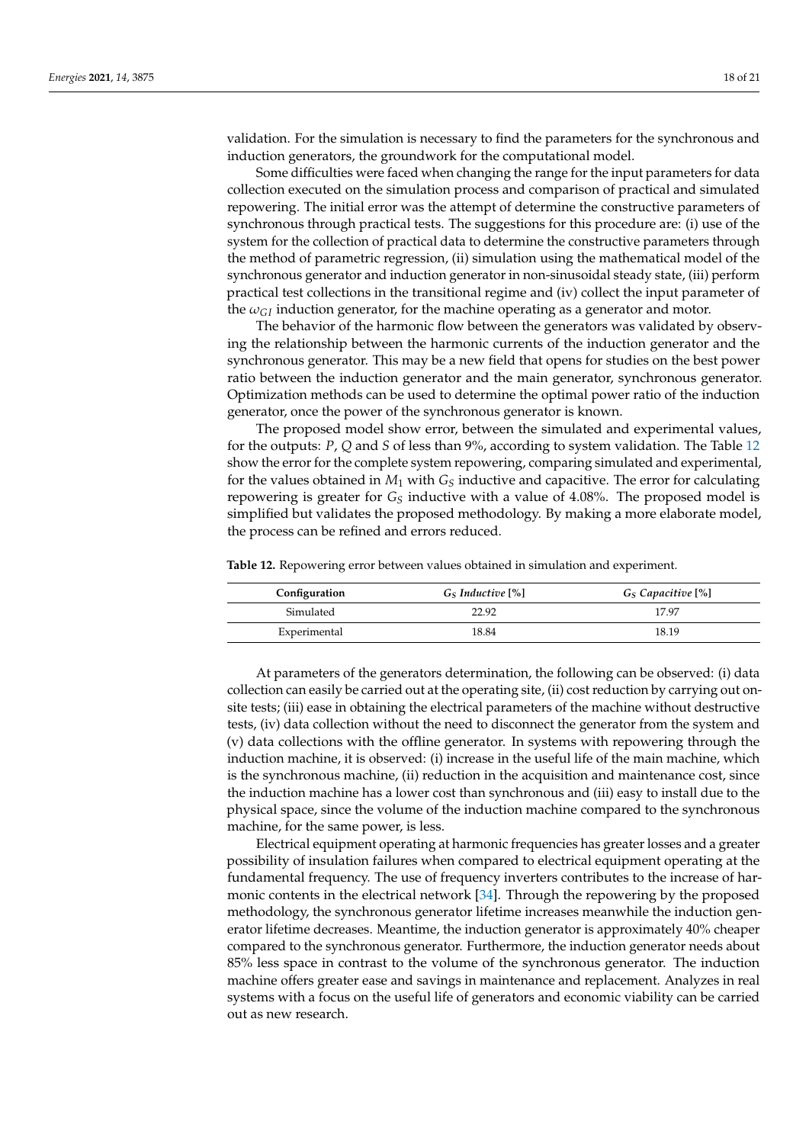validation. For the simulation is necessary to find the parameters for the synchronous and induction generators, the groundwork for the computational model.

Some difficulties were faced when changing the range for the input parameters for data collection executed on the simulation process and comparison of practical and simulated repowering. The initial error was the attempt of determine the constructive parameters of synchronous through practical tests. The suggestions for this procedure are: (i) use of the system for the collection of practical data to determine the constructive parameters through the method of parametric regression, (ii) simulation using the mathematical model of the synchronous generator and induction generator in non-sinusoidal steady state, (iii) perform practical test collections in the transitional regime and (iv) collect the input parameter of the  $\omega_{GI}$  induction generator, for the machine operating as a generator and motor.

The behavior of the harmonic flow between the generators was validated by observing the relationship between the harmonic currents of the induction generator and the synchronous generator. This may be a new field that opens for studies on the best power ratio between the induction generator and the main generator, synchronous generator. Optimization methods can be used to determine the optimal power ratio of the induction generator, once the power of the synchronous generator is known.

The proposed model show error, between the simulated and experimental values, for the outputs: *P*, *Q* and *S* of less than 9%, according to system validation. The Table [12](#page-17-0) show the error for the complete system repowering, comparing simulated and experimental, for the values obtained in  $M_1$  with  $G_S$  inductive and capacitive. The error for calculating repowering is greater for  $G<sub>S</sub>$  inductive with a value of 4.08%. The proposed model is simplified but validates the proposed methodology. By making a more elaborate model, the process can be refined and errors reduced.

<span id="page-17-0"></span>**Table 12.** Repowering error between values obtained in simulation and experiment.

| Configuration | G <sub>S</sub> Inductive [%] | G <sub>S</sub> Capacitive [%] |
|---------------|------------------------------|-------------------------------|
| Simulated     | 22.92                        | 1797                          |
| Experimental  | 18.84                        | 18.19                         |

At parameters of the generators determination, the following can be observed: (i) data collection can easily be carried out at the operating site, (ii) cost reduction by carrying out onsite tests; (iii) ease in obtaining the electrical parameters of the machine without destructive tests, (iv) data collection without the need to disconnect the generator from the system and (v) data collections with the offline generator. In systems with repowering through the induction machine, it is observed: (i) increase in the useful life of the main machine, which is the synchronous machine, (ii) reduction in the acquisition and maintenance cost, since the induction machine has a lower cost than synchronous and (iii) easy to install due to the physical space, since the volume of the induction machine compared to the synchronous machine, for the same power, is less.

Electrical equipment operating at harmonic frequencies has greater losses and a greater possibility of insulation failures when compared to electrical equipment operating at the fundamental frequency. The use of frequency inverters contributes to the increase of harmonic contents in the electrical network [\[34\]](#page-20-3). Through the repowering by the proposed methodology, the synchronous generator lifetime increases meanwhile the induction generator lifetime decreases. Meantime, the induction generator is approximately 40% cheaper compared to the synchronous generator. Furthermore, the induction generator needs about 85% less space in contrast to the volume of the synchronous generator. The induction machine offers greater ease and savings in maintenance and replacement. Analyzes in real systems with a focus on the useful life of generators and economic viability can be carried out as new research.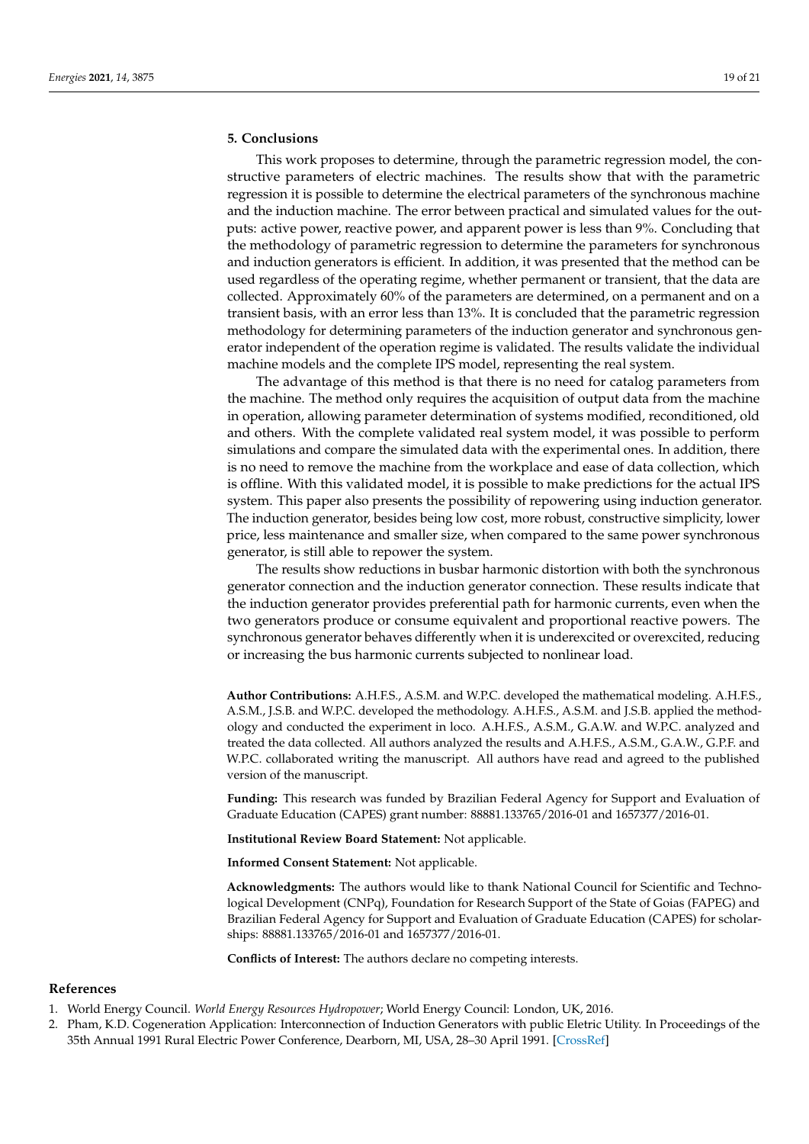# <span id="page-18-2"></span>**5. Conclusions**

This work proposes to determine, through the parametric regression model, the constructive parameters of electric machines. The results show that with the parametric regression it is possible to determine the electrical parameters of the synchronous machine and the induction machine. The error between practical and simulated values for the outputs: active power, reactive power, and apparent power is less than 9%. Concluding that the methodology of parametric regression to determine the parameters for synchronous and induction generators is efficient. In addition, it was presented that the method can be used regardless of the operating regime, whether permanent or transient, that the data are collected. Approximately 60% of the parameters are determined, on a permanent and on a transient basis, with an error less than 13%. It is concluded that the parametric regression methodology for determining parameters of the induction generator and synchronous generator independent of the operation regime is validated. The results validate the individual machine models and the complete IPS model, representing the real system.

The advantage of this method is that there is no need for catalog parameters from the machine. The method only requires the acquisition of output data from the machine in operation, allowing parameter determination of systems modified, reconditioned, old and others. With the complete validated real system model, it was possible to perform simulations and compare the simulated data with the experimental ones. In addition, there is no need to remove the machine from the workplace and ease of data collection, which is offline. With this validated model, it is possible to make predictions for the actual IPS system. This paper also presents the possibility of repowering using induction generator. The induction generator, besides being low cost, more robust, constructive simplicity, lower price, less maintenance and smaller size, when compared to the same power synchronous generator, is still able to repower the system.

The results show reductions in busbar harmonic distortion with both the synchronous generator connection and the induction generator connection. These results indicate that the induction generator provides preferential path for harmonic currents, even when the two generators produce or consume equivalent and proportional reactive powers. The synchronous generator behaves differently when it is underexcited or overexcited, reducing or increasing the bus harmonic currents subjected to nonlinear load.

**Author Contributions:** A.H.F.S., A.S.M. and W.P.C. developed the mathematical modeling. A.H.F.S., A.S.M., J.S.B. and W.P.C. developed the methodology. A.H.F.S., A.S.M. and J.S.B. applied the methodology and conducted the experiment in loco. A.H.F.S., A.S.M., G.A.W. and W.P.C. analyzed and treated the data collected. All authors analyzed the results and A.H.F.S., A.S.M., G.A.W., G.P.F. and W.P.C. collaborated writing the manuscript. All authors have read and agreed to the published version of the manuscript.

**Funding:** This research was funded by Brazilian Federal Agency for Support and Evaluation of Graduate Education (CAPES) grant number: 88881.133765/2016-01 and 1657377/2016-01.

**Institutional Review Board Statement:** Not applicable.

**Informed Consent Statement:** Not applicable.

**Acknowledgments:** The authors would like to thank National Council for Scientific and Technological Development (CNPq), Foundation for Research Support of the State of Goias (FAPEG) and Brazilian Federal Agency for Support and Evaluation of Graduate Education (CAPES) for scholarships: 88881.133765/2016-01 and 1657377/2016-01.

**Conflicts of Interest:** The authors declare no competing interests.

# **References**

- <span id="page-18-0"></span>1. World Energy Council. *World Energy Resources Hydropower*; World Energy Council: London, UK, 2016.
- <span id="page-18-1"></span>2. Pham, K.D. Cogeneration Application: Interconnection of Induction Generators with public Eletric Utility. In Proceedings of the 35th Annual 1991 Rural Electric Power Conference, Dearborn, MI, USA, 28–30 April 1991. [\[CrossRef\]](http://doi.org/10.1109/REPCON.1991.153095)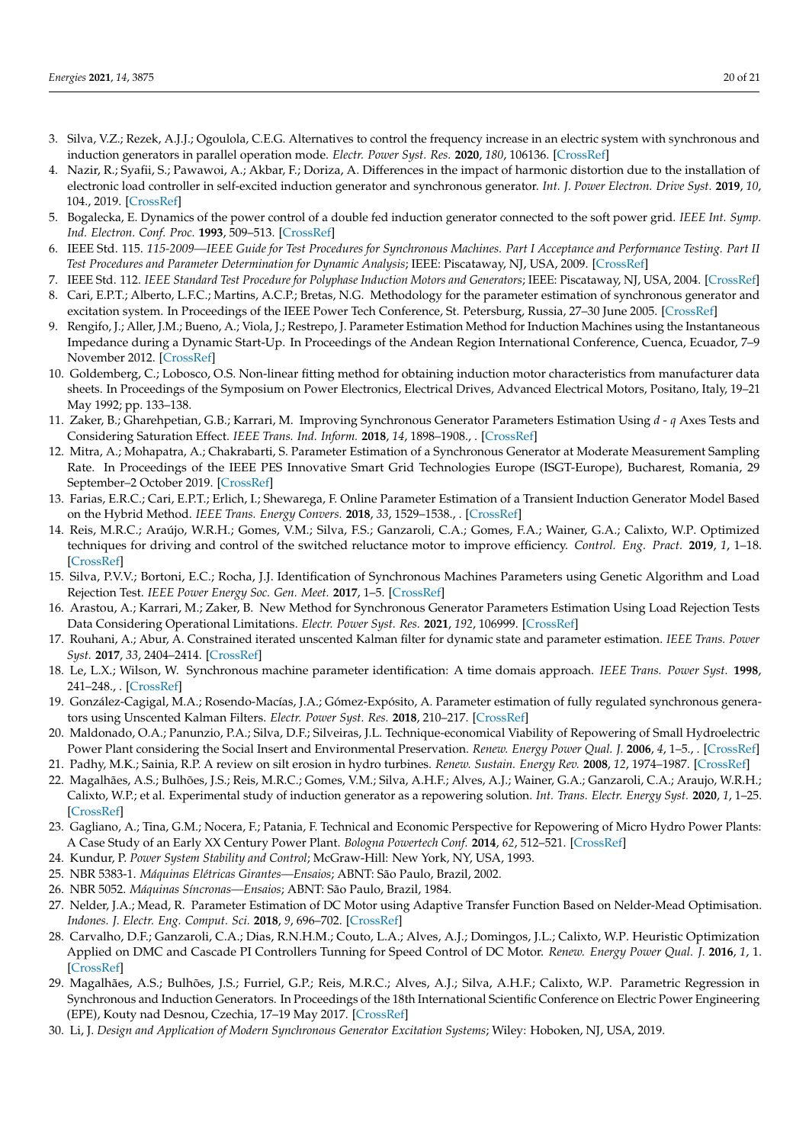- <span id="page-19-0"></span>3. Silva, V.Z.; Rezek, A.J.J.; Ogoulola, C.E.G. Alternatives to control the frequency increase in an electric system with synchronous and induction generators in parallel operation mode. *Electr. Power Syst. Res.* **2020**, *180*, 106136. [\[CrossRef\]](http://dx.doi.org/10.1016/j.epsr.2019.106136)
- <span id="page-19-1"></span>4. Nazir, R.; Syafii, S.; Pawawoi, A.; Akbar, F.; Doriza, A. Differences in the impact of harmonic distortion due to the installation of electronic load controller in self-excited induction generator and synchronous generator. *Int. J. Power Electron. Drive Syst.* **2019**, *10*, 104., 2019. [\[CrossRef\]](http://dx.doi.org/10.11591/ijpeds.v10.i1.pp104-116)
- <span id="page-19-2"></span>5. Bogalecka, E. Dynamics of the power control of a double fed induction generator connected to the soft power grid. *IEEE Int. Symp. Ind. Electron. Conf. Proc.* **1993**, 509–513. [\[CrossRef\]](http://dx.doi.org/10.1109/ISIE.1993.268753)
- <span id="page-19-3"></span>6. IEEE Std. 115. *115-2009—IEEE Guide for Test Procedures for Synchronous Machines. Part I Acceptance and Performance Testing. Part II Test Procedures and Parameter Determination for Dynamic Analysis*; IEEE: Piscataway, NJ, USA, 2009. [\[CrossRef\]](http://dx.doi.org/10.1109/IEEESTD.2010.5953453)
- <span id="page-19-5"></span><span id="page-19-4"></span>7. IEEE Std. 112. *IEEE Standard Test Procedure for Polyphase Induction Motors and Generators*; IEEE: Piscataway, NJ, USA, 2004. [\[CrossRef\]](http://dx.doi.org/10.1109/IEEESTD.1991.114383) 8. Cari, E.P.T.; Alberto, L.F.C.; Martins, A.C.P.; Bretas, N.G. Methodology for the parameter estimation of synchronous generator and excitation system. In Proceedings of the IEEE Power Tech Conference, St. Petersburg, Russia, 27–30 June 2005. [\[CrossRef\]](http://dx.doi.org/10.1109/PTC.2005.4524677)
- <span id="page-19-6"></span>9. Rengifo, J.; Aller, J.M.; Bueno, A.; Viola, J.; Restrepo, J. Parameter Estimation Method for Induction Machines using the Instantaneous Impedance during a Dynamic Start-Up. In Proceedings of the Andean Region International Conference, Cuenca, Ecuador, 7–9 November 2012. [\[CrossRef\]](http://dx.doi.org/10.1109/Andescon.2012.13)
- <span id="page-19-7"></span>10. Goldemberg, C.; Lobosco, O.S. Non-linear fitting method for obtaining induction motor characteristics from manufacturer data sheets. In Proceedings of the Symposium on Power Electronics, Electrical Drives, Advanced Electrical Motors, Positano, Italy, 19–21 May 1992; pp. 133–138.
- <span id="page-19-8"></span>11. Zaker, B.; Gharehpetian, G.B.; Karrari, M. Improving Synchronous Generator Parameters Estimation Using *d* - *q* Axes Tests and Considering Saturation Effect. *IEEE Trans. Ind. Inform.* **2018**, *14*, 1898–1908., . [\[CrossRef\]](http://dx.doi.org/10.1109/TII.2017.2759502)
- <span id="page-19-9"></span>12. Mitra, A.; Mohapatra, A.; Chakrabarti, S. Parameter Estimation of a Synchronous Generator at Moderate Measurement Sampling Rate. In Proceedings of the IEEE PES Innovative Smart Grid Technologies Europe (ISGT-Europe), Bucharest, Romania, 29 September–2 October 2019. [\[CrossRef\]](http://dx.doi.org/10.1109/ISGTEurope.2019.8905685, 2019)
- <span id="page-19-10"></span>13. Farias, E.R.C.; Cari, E.P.T.; Erlich, I.; Shewarega, F. Online Parameter Estimation of a Transient Induction Generator Model Based on the Hybrid Method. *IEEE Trans. Energy Convers.* **2018**, *33*, 1529–1538., . [\[CrossRef\]](http://dx.doi.org/10.1109/TEC.2018.2808238)
- <span id="page-19-11"></span>14. Reis, M.R.C.; Araújo, W.R.H.; Gomes, V.M.; Silva, F.S.; Ganzaroli, C.A.; Gomes, F.A.; Wainer, G.A.; Calixto, W.P. Optimized techniques for driving and control of the switched reluctance motor to improve efficiency. *Control. Eng. Pract.* **2019**, *1*, 1–18. [\[CrossRef\]](http://dx.doi.org/10.1016/j.conengprac.2019.06.007)
- <span id="page-19-12"></span>15. Silva, P.V.V.; Bortoni, E.C.; Rocha, J.J. Identification of Synchronous Machines Parameters using Genetic Algorithm and Load Rejection Test. *IEEE Power Energy Soc. Gen. Meet.* **2017**, 1–5. [\[CrossRef\]](http://dx.doi.org/10.1109/PESGM.2017.8274095)
- <span id="page-19-13"></span>16. Arastou, A.; Karrari, M.; Zaker, B. New Method for Synchronous Generator Parameters Estimation Using Load Rejection Tests Data Considering Operational Limitations. *Electr. Power Syst. Res.* **2021**, *192*, 106999. [\[CrossRef\]](http://dx.doi.org/10.1016/j.epsr.2020.106999)
- <span id="page-19-14"></span>17. Rouhani, A.; Abur, A. Constrained iterated unscented Kalman filter for dynamic state and parameter estimation. *IEEE Trans. Power Syst.* **2017**, *33*, 2404–2414. [\[CrossRef\]](http://dx.doi.org/10.1109/TPWRS.2017.2764005)
- <span id="page-19-15"></span>18. Le, L.X.; Wilson, W. Synchronous machine parameter identification: A time domais approach. *IEEE Trans. Power Syst.* **1998**, 241–248., . [\[CrossRef\]](http://dx.doi.org/10.1109/60.4725)
- <span id="page-19-16"></span>19. González-Cagigal, M.A.; Rosendo-Macías, J.A.; Gómez-Expósito, A. Parameter estimation of fully regulated synchronous generators using Unscented Kalman Filters. *Electr. Power Syst. Res.* **2018**, 210–217. [\[CrossRef\]](http://dx.doi.org/10.1016/j.epsr.2018.11.018)
- <span id="page-19-17"></span>20. Maldonado, O.A.; Panunzio, P.A.; Silva, D.F.; Silveiras, J.L. Technique-economical Viability of Repowering of Small Hydroelectric Power Plant considering the Social Insert and Environmental Preservation. *Renew. Energy Power Qual. J.* **2006**, *4*, 1–5., . [\[CrossRef\]](http://dx.doi.org/10.24084/repqj04.293)
- <span id="page-19-18"></span>21. Padhy, M.K.; Sainia, R.P. A review on silt erosion in hydro turbines. *Renew. Sustain. Energy Rev.* **2008**, *12*, 1974–1987. [\[CrossRef\]](http://dx.doi.org/10.1016/j.rser.2007.01.025)
- <span id="page-19-19"></span>22. Magalhães, A.S.; Bulhões, J.S.; Reis, M.R.C.; Gomes, V.M.; Silva, A.H.F.; Alves, A.J.; Wainer, G.A.; Ganzaroli, C.A.; Araujo, W.R.H.; Calixto, W.P.; et al. Experimental study of induction generator as a repowering solution. *Int. Trans. Electr. Energy Syst.* **2020**, *1*, 1–25. [\[CrossRef\]](http://dx.doi.org/10.1002/2050-7038.12365)
- <span id="page-19-20"></span>23. Gagliano, A.; Tina, G.M.; Nocera, F.; Patania, F. Technical and Economic Perspective for Repowering of Micro Hydro Power Plants: A Case Study of an Early XX Century Power Plant. *Bologna Powertech Conf.* **2014**, *62*, 512–521. [\[CrossRef\]](http://dx.doi.org/10.1016/j.egypro.2014.12.413)
- <span id="page-19-21"></span>24. Kundur, P. *Power System Stability and Control*; McGraw-Hill: New York, NY, USA, 1993.
- <span id="page-19-22"></span>25. NBR 5383-1. *Máquinas Elétricas Girantes—Ensaios*; ABNT: São Paulo, Brazil, 2002.
- <span id="page-19-23"></span>26. NBR 5052. *Máquinas Síncronas—Ensaios*; ABNT: São Paulo, Brazil, 1984.
- <span id="page-19-24"></span>27. Nelder, J.A.; Mead, R. Parameter Estimation of DC Motor using Adaptive Transfer Function Based on Nelder-Mead Optimisation. *Indones. J. Electr. Eng. Comput. Sci.* **2018**, *9*, 696–702. [\[CrossRef\]](http://dx.doi.org/10.11591/ijeecs.v9.i3.pp696-702)
- <span id="page-19-25"></span>28. Carvalho, D.F.; Ganzaroli, C.A.; Dias, R.N.H.M.; Couto, L.A.; Alves, A.J.; Domingos, J.L.; Calixto, W.P. Heuristic Optimization Applied on DMC and Cascade PI Controllers Tunning for Speed Control of DC Motor. *Renew. Energy Power Qual. J.* **2016**, *1*, 1. [\[CrossRef\]](http://dx.doi.org/10.1109/Chilecon.2015.7400360)
- <span id="page-19-26"></span>29. Magalhães, A.S.; Bulhões, J.S.; Furriel, G.P.; Reis, M.R.C.; Alves, A.J.; Silva, A.H.F.; Calixto, W.P. Parametric Regression in Synchronous and Induction Generators. In Proceedings of the 18th International Scientific Conference on Electric Power Engineering (EPE), Kouty nad Desnou, Czechia, 17–19 May 2017. [\[CrossRef\]](http://dx.doi.org/10.1109/EPE.2017.7967310, 2017)
- <span id="page-19-27"></span>30. Li, J. *Design and Application of Modern Synchronous Generator Excitation Systems*; Wiley: Hoboken, NJ, USA, 2019.